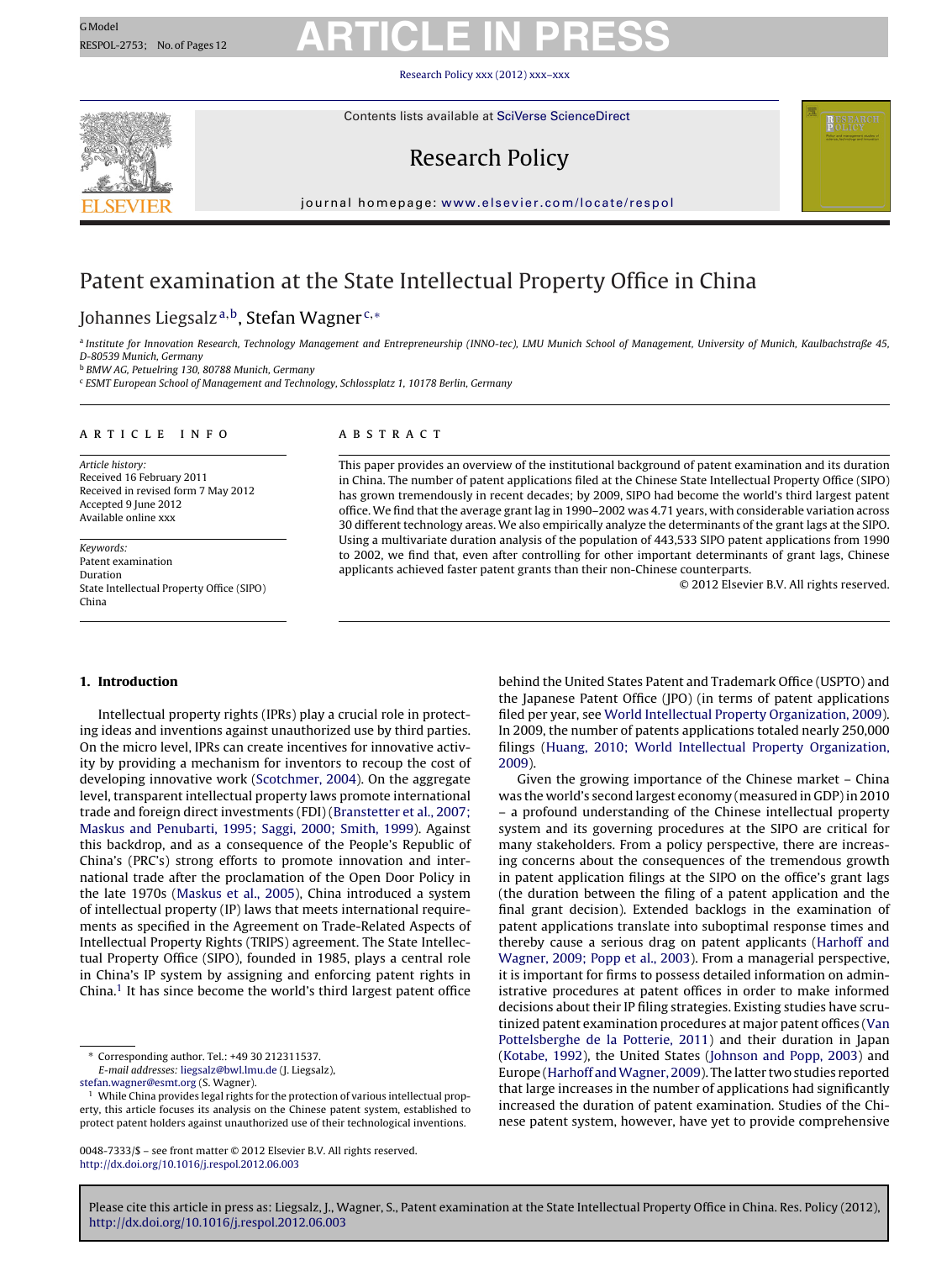Research Policy [xxx \(2012\) xxx–xxx](dx.doi.org/10.1016/j.respol.2012.06.003)



Contents lists available at SciVerse [ScienceDirect](http://www.sciencedirect.com/science/journal/00487333)

### Research Policy



jour nal homepage: [www.elsevier.com/locate/respol](http://www.elsevier.com/locate/respol)

### Patent examination at the State Intellectual Property Office in China

#### Johannes Liegsalz<sup>a,b</sup>, Stefan Wagner<sup>c,∗</sup>

a Institute for Innovation Research, Technology Management and Entrepreneurship (INNO-tec), LMU Munich School of Management, University of Munich, Kaulbachstraße 45, D-80539 Munich, Germany

<sup>b</sup> BMW AG, Petuelring 130, 80788 Munich, Germany

<sup>c</sup> ESMT European School of Management and Technology, Schlossplatz 1, 10178 Berlin, Germany

#### ARTICLE INFO

Article history: Received 16 February 2011 Received in revised form 7 May 2012 Accepted 9 June 2012 Available online xxx

Keywords: Patent examination Duration State Intellectual Property Office (SIPO) China

#### a b s t r a c t

This paper provides an overview of the institutional background of patent examination and its duration in China. The number of patent applications filed at the Chinese State Intellectual Property Office (SIPO) has grown tremendously in recent decades; by 2009, SIPO had become the world's third largest patent office. We find that the average grant lag in 1990–2002 was 4.71 years, with considerable variation across 30 different technology areas. We also empirically analyze the determinants of the grant lags at the SIPO. Using a multivariate duration analysis of the population of 443,533 SIPO patent applications from 1990 to 2002, we find that, even after controlling for other important determinants of grant lags, Chinese applicants achieved faster patent grants than their non-Chinese counterparts.

© 2012 Elsevier B.V. All rights reserved.

#### **1. Introduction**

Intellectual property rights (IPRs) play a crucial role in protecting ideas and inventions against unauthorized use by third parties. On the micro level, IPRs can create incentives for innovative activity by providing a mechanism for inventors to recoup the cost of developing innovative work [\(Scotchmer,](#page-10-0) [2004\).](#page-10-0) On the aggregate level, transparent intellectual property laws promote international trade and foreign direct investments (FDI) [\(Branstetter](#page-10-0) et [al.,](#page-10-0) [2007;](#page-10-0) [Maskus](#page-10-0) [and](#page-10-0) [Penubarti,](#page-10-0) [1995;](#page-10-0) [Saggi,](#page-10-0) [2000;](#page-10-0) [Smith,](#page-10-0) [1999\).](#page-10-0) Against this backdrop, and as a consequence of the People's Republic of China's (PRC's) strong efforts to promote innovation and international trade after the proclamation of the Open Door Policy in the late 1970s [\(Maskus](#page-10-0) et [al.,](#page-10-0) [2005\),](#page-10-0) China introduced a system of intellectual property (IP) laws that meets international requirements as specified in the Agreement on Trade-Related Aspects of Intellectual Property Rights (TRIPS) agreement. The State Intellectual Property Office (SIPO), founded in 1985, plays a central role in China's IP system by assigning and enforcing patent rights in China.<sup>1</sup> It has since become the world's third largest patent office

∗ Corresponding author. Tel.: +49 30 212311537.

E-mail addresses: [liegsalz@bwl.lmu.de](mailto:liegsalz@bwl.lmu.de) (J. Liegsalz),

[stefan.wagner@esmt.org](mailto:stefan.wagner@esmt.org) (S. Wagner).

<sup>1</sup> While China provides legal rights for the protection of various intellectual property, this article focuses its analysis on the Chinese patent system, established to protect patent holders against unauthorized use of their technological inventions.

0048-7333/\$ – see front matter © 2012 Elsevier B.V. All rights reserved. [http://dx.doi.org/10.1016/j.respol.2012.06.003](dx.doi.org/10.1016/j.respol.2012.06.003)

behind the United States Patent and Trademark Office (USPTO) and the Japanese Patent Office (JPO) (in terms of patent applications filed per year, see [World](#page-11-0) [Intellectual](#page-11-0) [Property](#page-11-0) [Organization,](#page-11-0) [2009\).](#page-11-0) In 2009, the number of patents applications totaled nearly 250,000 filings ([Huang,](#page-10-0) [2010;](#page-10-0) [World](#page-10-0) [Intellectual](#page-10-0) [Property](#page-10-0) [Organization,](#page-10-0) [2009\).](#page-10-0)

Given the growing importance of the Chinese market – China was the world's second largest economy (measured in GDP) in 2010 – a profound understanding of the Chinese intellectual property system and its governing procedures at the SIPO are critical for many stakeholders. From a policy perspective, there are increasing concerns about the consequences of the tremendous growth in patent application filings at the SIPO on the office's grant lags (the duration between the filing of a patent application and the final grant decision). Extended backlogs in the examination of patent applications translate into suboptimal response times and thereby cause a serious drag on patent applicants ([Harhoff](#page-10-0) [and](#page-10-0) [Wagner,](#page-10-0) [2009;](#page-10-0) [Popp](#page-10-0) et [al.,](#page-10-0) [2003\).](#page-10-0) From a managerial perspective, it is important for firms to possess detailed information on administrative procedures at patent offices in order to make informed decisions about their IP filing strategies. Existing studies have scrutinized patent examination procedures at major patent offices ([Van](#page-10-0) [Pottelsberghe](#page-10-0) [de](#page-10-0) [la](#page-10-0) [Potterie,](#page-10-0) [2011\)](#page-10-0) and their duration in Japan [\(Kotabe,](#page-10-0) [1992\),](#page-10-0) the United States [\(Johnson](#page-10-0) [and](#page-10-0) [Popp,](#page-10-0) [2003\)](#page-10-0) and Europe ([Harhoff](#page-10-0) [andWagner,](#page-10-0) [2009\).](#page-10-0) The latter two studies reported that large increases in the number of applications had significantly increased the duration of patent examination. Studies of the Chinese patent system, however, have yet to provide comprehensive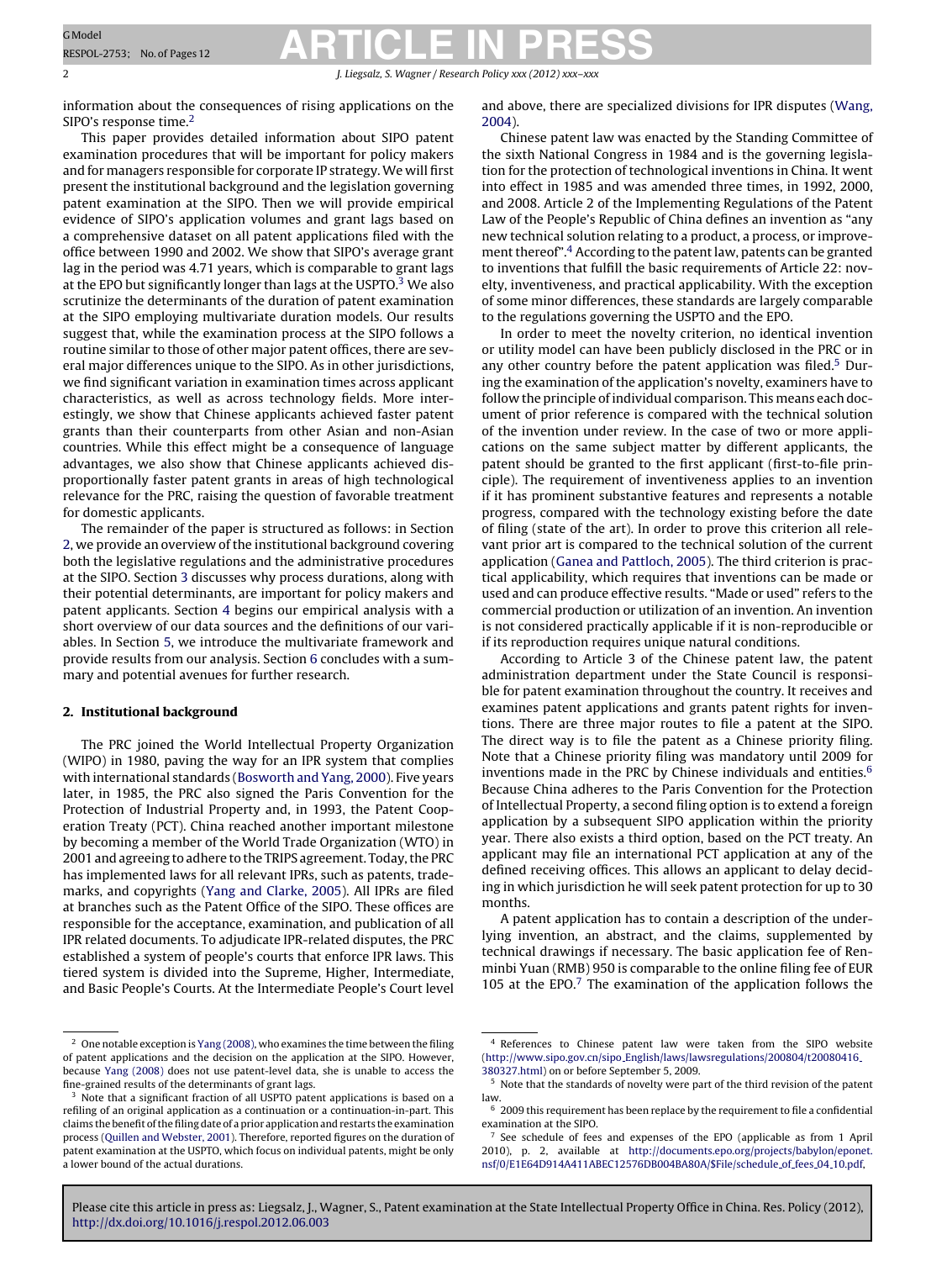2 J. Liegsalz, S. Wagner / Research Policy *xxx* (2012) *xxx* 

information about the consequences of rising applications on the SIPO's response time.<sup>2</sup>

This paper provides detailed information about SIPO patent examination procedures that will be important for policy makers and for managers responsible for corporate IP strategy. We will first present the institutional background and the legislation governing patent examination at the SIPO. Then we will provide empirical evidence of SIPO's application volumes and grant lags based on a comprehensive dataset on all patent applications filed with the office between 1990 and 2002. We show that SIPO's average grant lag in the period was 4.71 years, which is comparable to grant lags at the EPO but significantly longer than lags at the USPTO.<sup>3</sup> We also scrutinize the determinants of the duration of patent examination at the SIPO employing multivariate duration models. Our results suggest that, while the examination process at the SIPO follows a routine similar to those of other major patent offices, there are several major differences unique to the SIPO. As in other jurisdictions, we find significant variation in examination times across applicant characteristics, as well as across technology fields. More interestingly, we show that Chinese applicants achieved faster patent grants than their counterparts from other Asian and non-Asian countries. While this effect might be a consequence of language advantages, we also show that Chinese applicants achieved disproportionally faster patent grants in areas of high technological relevance for the PRC, raising the question of favorable treatment for domestic applicants.

The remainder of the paper is structured as follows: in Section 2, we provide an overview of the institutional background covering both the legislative regulations and the administrative procedures at the SIPO. Section [3](#page-2-0) discusses why process durations, along with their potential determinants, are important for policy makers and patent applicants. Section [4](#page-3-0) begins our empirical analysis with a short overview of our data sources and the definitions of our variables. In Section [5,](#page-6-0) we introduce the multivariate framework and provide results from our analysis. Section [6](#page-10-0) concludes with a summary and potential avenues for further research.

#### **2. Institutional background**

The PRC joined the World Intellectual Property Organization (WIPO) in 1980, paving the way for an IPR system that complies with international standards [\(Bosworth](#page-10-0) [and](#page-10-0) [Yang,](#page-10-0) [2000\).](#page-10-0) Five years later, in 1985, the PRC also signed the Paris Convention for the Protection of Industrial Property and, in 1993, the Patent Cooperation Treaty (PCT). China reached another important milestone by becoming a member of the World Trade Organization (WTO) in 2001 and agreeing to adhere to the TRIPS agreement. Today, the PRC has implemented laws for all relevant IPRs, such as patents, trademarks, and copyrights [\(Yang](#page-11-0) [and](#page-11-0) [Clarke,](#page-11-0) [2005\).](#page-11-0) All IPRs are filed at branches such as the Patent Office of the SIPO. These offices are responsible for the acceptance, examination, and publication of all IPR related documents. To adjudicate IPR-related disputes, the PRC established a system of people's courts that enforce IPR laws. This tiered system is divided into the Supreme, Higher, Intermediate, and Basic People's Courts. At the Intermediate People's Court level and above, there are specialized divisions for IPR disputes ([Wang,](#page-10-0) [2004\).](#page-10-0)

Chinese patent law was enacted by the Standing Committee of the sixth National Congress in 1984 and is the governing legislation for the protection of technological inventions in China. It went into effect in 1985 and was amended three times, in 1992, 2000, and 2008. Article 2 of the Implementing Regulations of the Patent Law of the People's Republic of China defines an invention as "any new technical solution relating to a product, a process, or improvement thereof".<sup>4</sup> According to the patent law, patents can be granted to inventions that fulfill the basic requirements of Article 22: novelty, inventiveness, and practical applicability. With the exception of some minor differences, these standards are largely comparable to the regulations governing the USPTO and the EPO.

In order to meet the novelty criterion, no identical invention or utility model can have been publicly disclosed in the PRC or in any other country before the patent application was filed.<sup>5</sup> During the examination of the application's novelty, examiners have to follow the principle of individual comparison. This means each document of prior reference is compared with the technical solution of the invention under review. In the case of two or more applications on the same subject matter by different applicants, the patent should be granted to the first applicant (first-to-file principle). The requirement of inventiveness applies to an invention if it has prominent substantive features and represents a notable progress, compared with the technology existing before the date of filing (state of the art). In order to prove this criterion all relevant prior art is compared to the technical solution of the current application [\(Ganea](#page-10-0) [and](#page-10-0) [Pattloch,](#page-10-0) [2005\).](#page-10-0) The third criterion is practical applicability, which requires that inventions can be made or used and can produce effective results. "Made or used" refers to the commercial production or utilization of an invention. An invention is not considered practically applicable if it is non-reproducible or if its reproduction requires unique natural conditions.

According to Article 3 of the Chinese patent law, the patent administration department under the State Council is responsible for patent examination throughout the country. It receives and examines patent applications and grants patent rights for inventions. There are three major routes to file a patent at the SIPO. The direct way is to file the patent as a Chinese priority filing. Note that a Chinese priority filing was mandatory until 2009 for inventions made in the PRC by Chinese individuals and entities. $6$ Because China adheres to the Paris Convention for the Protection of Intellectual Property, a second filing option is to extend a foreign application by a subsequent SIPO application within the priority year. There also exists a third option, based on the PCT treaty. An applicant may file an international PCT application at any of the defined receiving offices. This allows an applicant to delay deciding in which jurisdiction he will seek patent protection for up to 30 months.

A patent application has to contain a description of the underlying invention, an abstract, and the claims, supplemented by technical drawings if necessary. The basic application fee of Renminbi Yuan (RMB) 950 is comparable to the online filing fee of EUR 105 at the EPO. $<sup>7</sup>$  The examination of the application follows the</sup>

 $^{\rm 2}$  One notable exception is [Yang](#page-11-0) [\(2008\),](#page-11-0) who examines the time between the filing of patent applications and the decision on the application at the SIPO. However, because [Yang](#page-11-0) [\(2008\)](#page-11-0) does not use patent-level data, she is unable to access the fine-grained results of the determinants of grant lags.

<sup>&</sup>lt;sup>3</sup> Note that a significant fraction of all USPTO patent applications is based on a refiling of an original application as a continuation or a continuation-in-part. This claims the benefit of the filing date of a prior application and restarts the examination process ([Quillen](#page-10-0) [and](#page-10-0) [Webster,](#page-10-0) [2001\).](#page-10-0) Therefore, reported figures on the duration of patent examination at the USPTO, which focus on individual patents, might be only a lower bound of the actual durations.

<sup>4</sup> References to Chinese patent law were taken from the SIPO website (http://www.sipo.gov.cn/sipo [English/laws/lawsregulations/200804/t20080416](http://www.sipo.gov.cn/sipo_English/laws/lawsregulations/200804/t20080416_380327.html) [380327.html\)](http://www.sipo.gov.cn/sipo_English/laws/lawsregulations/200804/t20080416_380327.html) on or before September 5, 2009.

 $^{\rm 5}$  Note that the standards of novelty were part of the third revision of the patent law.

 $6$  2009 this requirement has been replace by the requirement to file a confidential examination at the SIPO.

<sup>7</sup> See schedule of fees and expenses of the EPO (applicable as from 1 April 2010), p. 2, available at [http://documents.epo.org/projects/babylon/eponet.](http://documents.epo.org/projects/babylon/eponet.nsf/0/E1E64D914A411ABEC12576DB004BA80A/$File/schedule_of_fees_04_10.pdf) [nsf/0/E1E64D914A411ABEC12576DB004BA80A/\\$File/schedule](http://documents.epo.org/projects/babylon/eponet.nsf/0/E1E64D914A411ABEC12576DB004BA80A/$File/schedule_of_fees_04_10.pdf)\_of\_fees\_04\_10.pdf,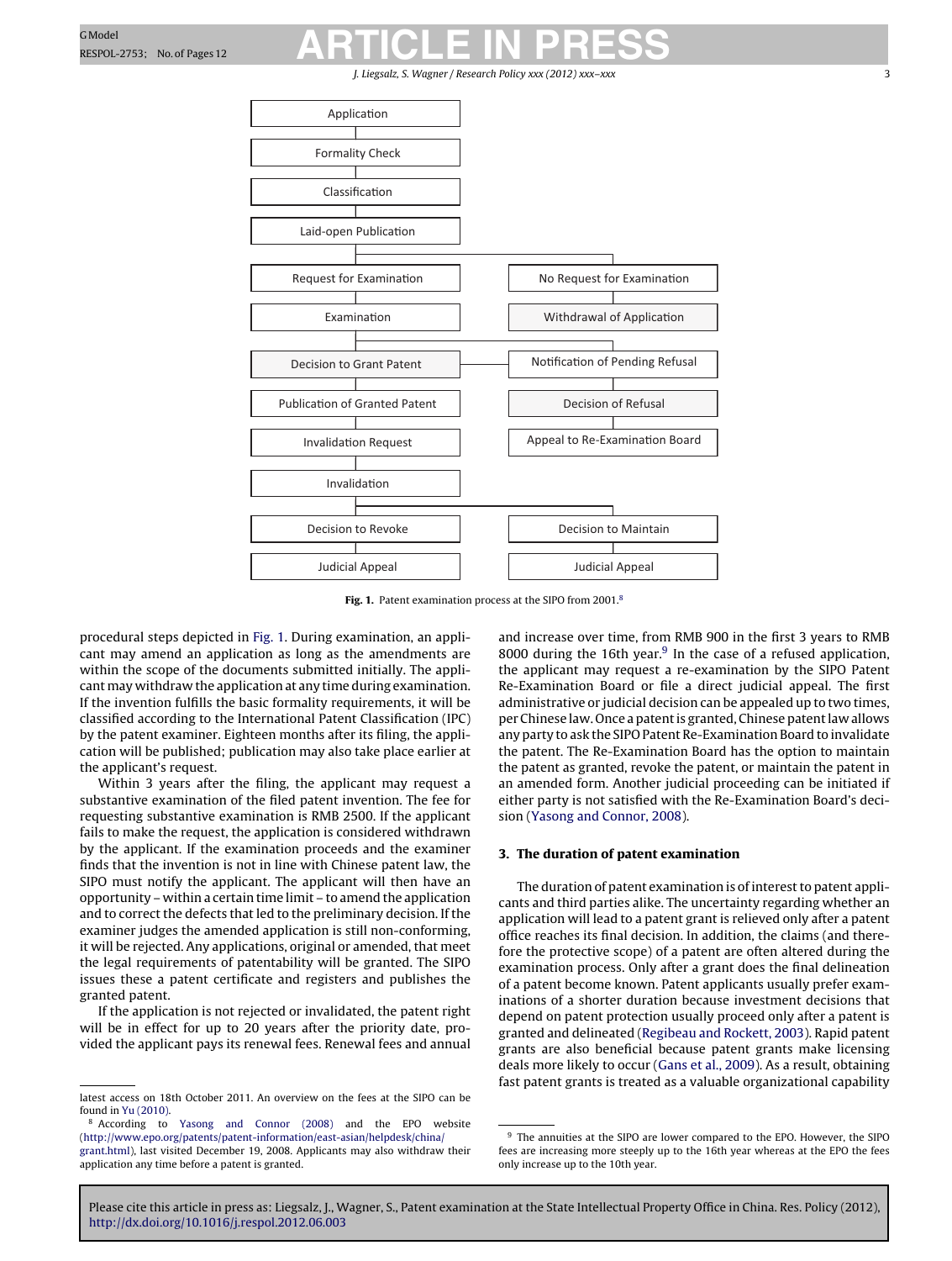J. Liegsalz, S. Wagner / Research Policy xxx (2012) xxx

<span id="page-2-0"></span>

**Fig. 1.** Patent examination process at the SIPO from 2001.8

procedural steps depicted in Fig. 1. During examination, an applicant may amend an application as long as the amendments are within the scope of the documents submitted initially. The applicant may withdraw the application at any time during examination. If the invention fulfills the basic formality requirements, it will be classified according to the International Patent Classification (IPC) by the patent examiner. Eighteen months after its filing, the application will be published; publication may also take place earlier at the applicant's request.

Within 3 years after the filing, the applicant may request a substantive examination of the filed patent invention. The fee for requesting substantive examination is RMB 2500. If the applicant fails to make the request, the application is considered withdrawn by the applicant. If the examination proceeds and the examiner finds that the invention is not in line with Chinese patent law, the SIPO must notify the applicant. The applicant will then have an opportunity – within a certain time limit – to amend the application and to correct the defects that led to the preliminary decision. If the examiner judges the amended application is still non-conforming, it will be rejected. Any applications, original or amended, that meet the legal requirements of patentability will be granted. The SIPO issues these a patent certificate and registers and publishes the granted patent.

If the application is not rejected or invalidated, the patent right will be in effect for up to 20 years after the priority date, provided the applicant pays its renewal fees. Renewal fees and annual and increase over time, from RMB 900 in the first 3 years to RMB 8000 during the 16th year. $9$  In the case of a refused application, the applicant may request a re-examination by the SIPO Patent Re-Examination Board or file a direct judicial appeal. The first administrative or judicial decision can be appealed up to two times, per Chinese law. Once a patent is granted, Chinese patent law allows any party to ask the SIPO Patent Re-Examination Board to invalidate the patent. The Re-Examination Board has the option to maintain the patent as granted, revoke the patent, or maintain the patent in an amended form. Another judicial proceeding can be initiated if either party is not satisfied with the Re-Examination Board's decision [\(Yasong](#page-11-0) [and](#page-11-0) [Connor,](#page-11-0) [2008\).](#page-11-0)

#### **3. The duration of patent examination**

The duration of patent examination is of interest to patent applicants and third parties alike. The uncertainty regarding whether an application will lead to a patent grant is relieved only after a patent office reaches its final decision. In addition, the claims (and therefore the protective scope) of a patent are often altered during the examination process. Only after a grant does the final delineation of a patent become known. Patent applicants usually prefer examinations of a shorter duration because investment decisions that depend on patent protection usually proceed only after a patent is granted and delineated ([Regibeau](#page-10-0) [and](#page-10-0) [Rockett,](#page-10-0) [2003\).](#page-10-0) Rapid patent grants are also beneficial because patent grants make licensing deals more likely to occur ([Gans](#page-10-0) et [al.,](#page-10-0) [2009\).](#page-10-0) As a result, obtaining fast patent grants is treated as a valuable organizational capability

latest access on 18th October 2011. An overview on the fees at the SIPO can be found in [Yu](#page-11-0) [\(2010\).](#page-11-0)

<sup>8</sup> According to [Yasong](#page-11-0) [and](#page-11-0) [Connor](#page-11-0) [\(2008\)](#page-11-0) and the EPO website [\(http://www.epo.org/patents/patent-information/east-asian/helpdesk/china/](http://www.epo.org/patents/patent-information/east-asian/helpdesk/china/grant.html) [grant.html](http://www.epo.org/patents/patent-information/east-asian/helpdesk/china/grant.html)), last visited December 19, 2008. Applicants may also withdraw their application any time before a patent is granted.

<sup>&</sup>lt;sup>9</sup> The annuities at the SIPO are lower compared to the EPO. However, the SIPO fees are increasing more steeply up to the 16th year whereas at the EPO the fees only increase up to the 10th year.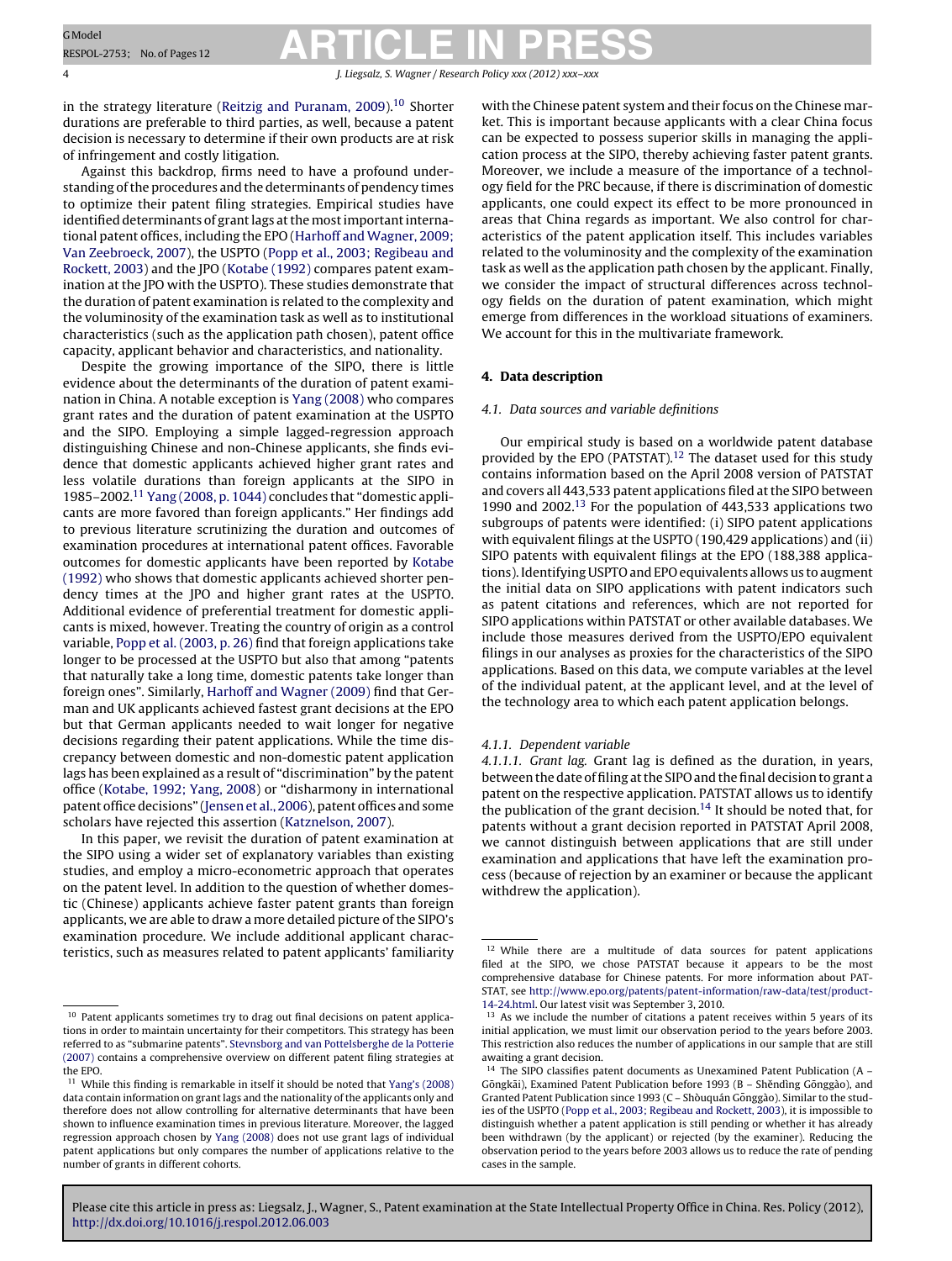<span id="page-3-0"></span>4 J. Liegsalz, S. Wagner / Research Policy *xxx (2012) xxx–xxx*

in the strategy literature [\(Reitzig](#page-10-0) [and](#page-10-0) [Puranam,](#page-10-0) [2009\).](#page-10-0)<sup>10</sup> Shorter durations are preferable to third parties, as well, because a patent decision is necessary to determine if their own products are at risk of infringement and costly litigation.

Against this backdrop, firms need to have a profound understanding of the procedures and the determinants of pendency times to optimize their patent filing strategies. Empirical studies have identified determinants of grant lags at the most important international patent offices, including the EPO [\(Harhoff](#page-10-0) [and](#page-10-0) [Wagner,](#page-10-0) [2009;](#page-10-0) [Van](#page-10-0) [Zeebroeck,](#page-10-0) [2007\),](#page-10-0) the USPTO ([Popp](#page-10-0) et [al.,](#page-10-0) [2003;](#page-10-0) [Regibeau](#page-10-0) [and](#page-10-0) [Rockett,](#page-10-0) [2003\)](#page-10-0) and the JPO ([Kotabe](#page-10-0) [\(1992\)](#page-10-0) compares patent examination at the JPO with the USPTO). These studies demonstrate that the duration of patent examination is related to the complexity and the voluminosity of the examination task as well as to institutional characteristics (such as the application path chosen), patent office capacity, applicant behavior and characteristics, and nationality.

Despite the growing importance of the SIPO, there is little evidence about the determinants of the duration of patent examination in China. A notable exception is [Yang](#page-11-0) [\(2008\)](#page-11-0) who compares grant rates and the duration of patent examination at the USPTO and the SIPO. Employing a simple lagged-regression approach distinguishing Chinese and non-Chinese applicants, she finds evidence that domestic applicants achieved higher grant rates and less volatile durations than foreign applicants at the SIPO in 1985–2002.11 [Yang](#page-11-0) [\(2008,](#page-11-0) [p.](#page-11-0) [1044\)](#page-11-0) concludes that "domestic applicants are more favored than foreign applicants." Her findings add to previous literature scrutinizing the duration and outcomes of examination procedures at international patent offices. Favorable outcomes for domestic applicants have been reported by [Kotabe](#page-10-0) [\(1992\)](#page-10-0) who shows that domestic applicants achieved shorter pendency times at the JPO and higher grant rates at the USPTO. Additional evidence of preferential treatment for domestic applicants is mixed, however. Treating the country of origin as a control variable, [Popp](#page-10-0) et [al.](#page-10-0) [\(2003,](#page-10-0) [p.](#page-10-0) [26\)](#page-10-0) find that foreign applications take longer to be processed at the USPTO but also that among "patents that naturally take a long time, domestic patents take longer than foreign ones". Similarly, [Harhoff](#page-10-0) [and](#page-10-0) [Wagner](#page-10-0) [\(2009\)](#page-10-0) find that German and UK applicants achieved fastest grant decisions at the EPO but that German applicants needed to wait longer for negative decisions regarding their patent applications. While the time discrepancy between domestic and non-domestic patent application lags has been explained as a result of "discrimination" by the patent office [\(Kotabe,](#page-10-0) [1992;](#page-10-0) [Yang,](#page-10-0) [2008\)](#page-10-0) or "disharmony in international patent office decisions" (Jensen et [al.,](#page-10-0) [2006\),](#page-10-0) patent offices and some scholars have rejected this assertion ([Katznelson,](#page-10-0) [2007\).](#page-10-0)

In this paper, we revisit the duration of patent examination at the SIPO using a wider set of explanatory variables than existing studies, and employ a micro-econometric approach that operates on the patent level. In addition to the question of whether domestic (Chinese) applicants achieve faster patent grants than foreign applicants, we are able to draw a more detailed picture of the SIPO's examination procedure. We include additional applicant characteristics, such as measures related to patent applicants' familiarity

with the Chinese patent system and their focus on the Chinese market. This is important because applicants with a clear China focus can be expected to possess superior skills in managing the application process at the SIPO, thereby achieving faster patent grants. Moreover, we include a measure of the importance of a technology field for the PRC because, if there is discrimination of domestic applicants, one could expect its effect to be more pronounced in areas that China regards as important. We also control for characteristics of the patent application itself. This includes variables related to the voluminosity and the complexity of the examination task as well as the application path chosen by the applicant. Finally, we consider the impact of structural differences across technology fields on the duration of patent examination, which might emerge from differences in the workload situations of examiners. We account for this in the multivariate framework.

#### **4. Data description**

#### 4.1. Data sources and variable definitions

Our empirical study is based on a worldwide patent database provided by the EPO (PATSTAT).<sup>12</sup> The dataset used for this study contains information based on the April 2008 version of PATSTAT and covers all 443,533 patent applications filed at the SIPO between 1990 and 2002.<sup>13</sup> For the population of 443,533 applications two subgroups of patents were identified: (i) SIPO patent applications with equivalent filings at the USPTO (190,429 applications) and (ii) SIPO patents with equivalent filings at the EPO (188,388 applications). Identifying USPTO and EPO equivalents allows us to augment the initial data on SIPO applications with patent indicators such as patent citations and references, which are not reported for SIPO applications within PATSTAT or other available databases. We include those measures derived from the USPTO/EPO equivalent filings in our analyses as proxies for the characteristics of the SIPO applications. Based on this data, we compute variables at the level of the individual patent, at the applicant level, and at the level of the technology area to which each patent application belongs.

#### 4.1.1. Dependent variable

4.1.1.1. Grant lag. Grant lag is defined as the duration, in years, between the date of filing at the SIPO and the final decision to grant a patent on the respective application. PATSTAT allows us to identify the publication of the grant decision.<sup>14</sup> It should be noted that, for patents without a grant decision reported in PATSTAT April 2008, we cannot distinguish between applications that are still under examination and applications that have left the examination process (because of rejection by an examiner or because the applicant withdrew the application).

<sup>&</sup>lt;sup>10</sup> Patent applicants sometimes try to drag out final decisions on patent applications in order to maintain uncertainty for their competitors. This strategy has been referred to as "submarine patents". [Stevnsborg](#page-10-0) [and](#page-10-0) [van](#page-10-0) [Pottelsberghe](#page-10-0) [de](#page-10-0) [la](#page-10-0) [Potterie](#page-10-0) [\(2007\)](#page-10-0) contains a comprehensive overview on different patent filing strategies at the EPO.

<sup>&</sup>lt;sup>11</sup> While this finding is remarkable in itself it should be noted that [Yang's](#page-11-0) [\(2008\)](#page-11-0) data contain information on grant lags and the nationality of the applicants only and therefore does not allow controlling for alternative determinants that have been shown to influence examination times in previous literature. Moreover, the lagged regression approach chosen by [Yang](#page-11-0) [\(2008\)](#page-11-0) does not use grant lags of individual patent applications but only compares the number of applications relative to the number of grants in different cohorts.

<sup>&</sup>lt;sup>12</sup> While there are a multitude of data sources for patent applications filed at the SIPO, we chose PATSTAT because it appears to be the most comprehensive database for Chinese patents. For more information about PAT-STAT, see [http://www.epo.org/patents/patent-information/raw-data/test/product-](http://www.epo.org/patents/patent-information/raw-data/test/product-14-24.html)14-24.html. Our latest visit was September 3, 2010.

<sup>&</sup>lt;sup>13</sup> As we include the number of citations a patent receives within 5 years of its initial application, we must limit our observation period to the years before 2003. This restriction also reduces the number of applications in our sample that are still awaiting a grant decision.

<sup>&</sup>lt;sup>14</sup> The SIPO classifies patent documents as Unexamined Patent Publication (A -Gōngkāi), Examined Patent Publication before 1993 (B – Shěndìng Gōnggào), and Granted Patent Publication since 1993 ( $C - S$ hòuquán Gōnggào). Similar to the studies of the USPTO [\(Popp](#page-10-0) et [al.,](#page-10-0) [2003;](#page-10-0) [Regibeau](#page-10-0) [and](#page-10-0) [Rockett,](#page-10-0) [2003\),](#page-10-0) it is impossible to distinguish whether a patent application is still pending or whether it has already been withdrawn (by the applicant) or rejected (by the examiner). Reducing the observation period to the years before 2003 allows us to reduce the rate of pending cases in the sample.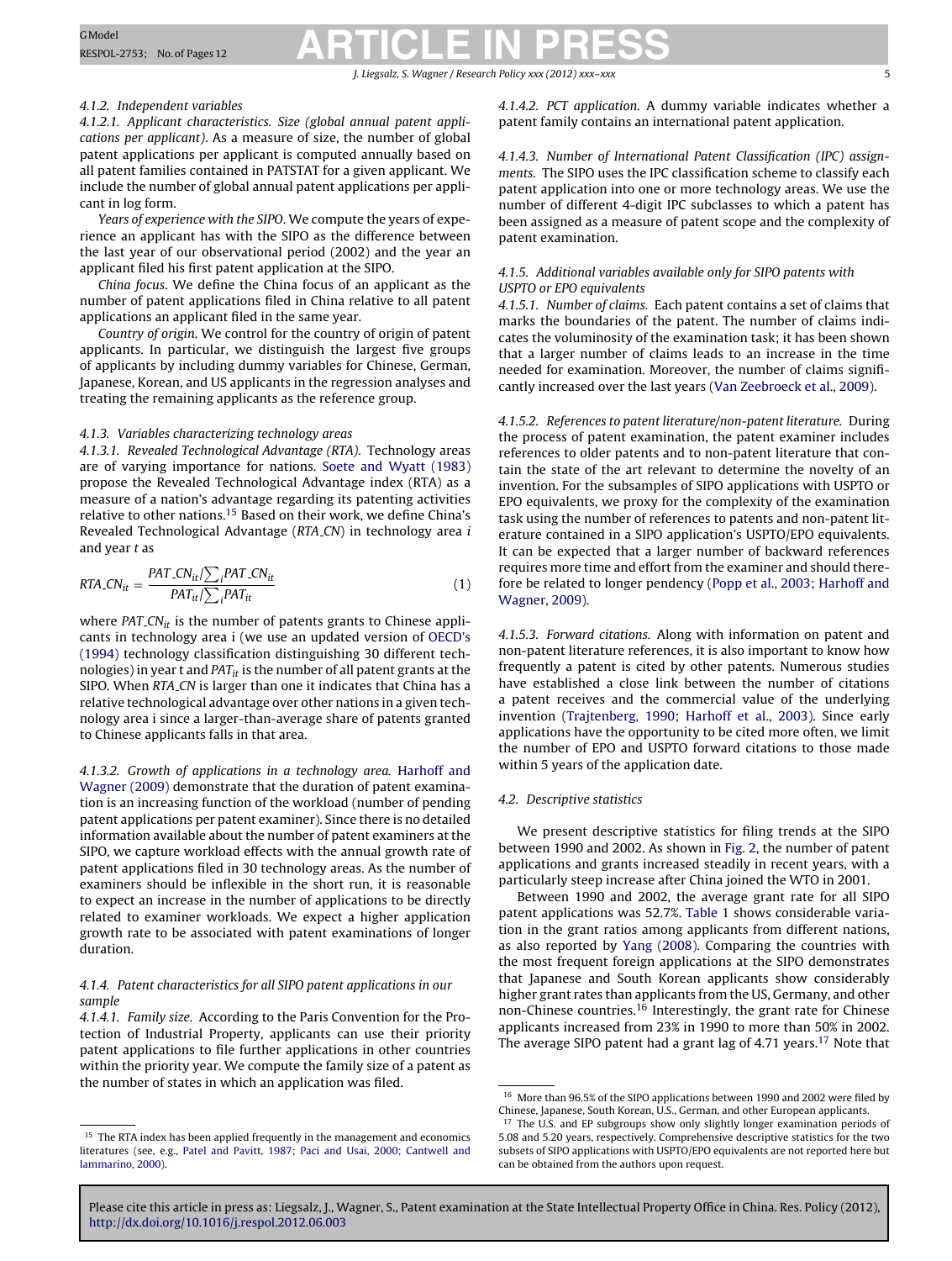#### J. Liegsalz, S. Wagner / Research Policy *xxx (2012) xxx–xxx* 5

#### 4.1.2. Independent variables

4.1.2.1. Applicant characteristics. Size (global annual patent applications per applicant). As a measure of size, the number of global patent applications per applicant is computed annually based on all patent families contained in PATSTAT for a given applicant. We include the number of global annual patent applications per applicant in log form.

Years of experience with the SIPO. We compute the years of experience an applicant has with the SIPO as the difference between the last year of our observational period (2002) and the year an applicant filed his first patent application at the SIPO.

China focus. We define the China focus of an applicant as the number of patent applications filed in China relative to all patent applications an applicant filed in the same year.

Country of origin. We control for the country of origin of patent applicants. In particular, we distinguish the largest five groups of applicants by including dummy variables for Chinese, German, Japanese, Korean, and US applicants in the regression analyses and treating the remaining applicants as the reference group.

#### 4.1.3. Variables characterizing technology areas

4.1.3.1. Revealed Technological Advantage (RTA). Technology areas are of varying importance for nations. [Soete](#page-10-0) [and](#page-10-0) [Wyatt](#page-10-0) [\(1983\)](#page-10-0) propose the Revealed Technological Advantage index (RTA) as a measure of a nation's advantage regarding its patenting activities relative to other nations.15 Based on their work, we define China's Revealed Technological Advantage (RTA CN) in technology area i and year t as

$$
RTA\_{CNit} = \frac{PAT\_{CNit}}{PAT_{it}} / \sum_{i} PAT_{it}
$$
\n(1)

where  $PAT$ <sub>c</sub> $CN_{it}$  is the number of patents grants to Chinese applicants in technology area i (we use an updated version of [OECD's](#page-10-0) [\(1994\)](#page-10-0) technology classification distinguishing 30 different technologies) in year t and  $PAT_{it}$  is the number of all patent grants at the SIPO. When RTA\_CN is larger than one it indicates that China has a relative technological advantage over other nations in a given technology area i since a larger-than-average share of patents granted to Chinese applicants falls in that area.

4.1.3.2. Growth of applications in a technology area. [Harhoff](#page-10-0) [and](#page-10-0) [Wagner](#page-10-0) [\(2009\)](#page-10-0) demonstrate that the duration of patent examination is an increasing function of the workload (number of pending patent applications per patent examiner). Since there is no detailed information available about the number of patent examiners at the SIPO, we capture workload effects with the annual growth rate of patent applications filed in 30 technology areas. As the number of examiners should be inflexible in the short run, it is reasonable to expect an increase in the number of applications to be directly related to examiner workloads. We expect a higher application growth rate to be associated with patent examinations of longer duration.

#### 4.1.4. Patent characteristics for all SIPO patent applications in our sample

4.1.4.1. Family size. According to the Paris Convention for the Protection of Industrial Property, applicants can use their priority patent applications to file further applications in other countries within the priority year. We compute the family size of a patent as the number of states in which an application was filed.

4.1.4.2. PCT application. A dummy variable indicates whether a patent family contains an international patent application.

4.1.4.3. Number of International Patent Classification (IPC) assignments. The SIPO uses the IPC classification scheme to classify each patent application into one or more technology areas. We use the number of different 4-digit IPC subclasses to which a patent has been assigned as a measure of patent scope and the complexity of patent examination.

#### 4.1.5. Additional variables available only for SIPO patents with USPTO or EPO equivalents

4.1.5.1. Number of claims. Each patent contains a set of claims that marks the boundaries of the patent. The number of claims indicates the voluminosity of the examination task; it has been shown that a larger number of claims leads to an increase in the time needed for examination. Moreover, the number of claims significantly increased over the last years ([Van](#page-10-0) [Zeebroeck](#page-10-0) et [al.,](#page-10-0) [2009\).](#page-10-0)

4.1.5.2. References to patent literature/non-patent literature. During the process of patent examination, the patent examiner includes references to older patents and to non-patent literature that contain the state of the art relevant to determine the novelty of an invention. For the subsamples of SIPO applications with USPTO or EPO equivalents, we proxy for the complexity of the examination task using the number of references to patents and non-patent literature contained in a SIPO application's USPTO/EPO equivalents. It can be expected that a larger number of backward references requires more time and effort from the examiner and should therefore be related to longer pendency ([Popp](#page-10-0) et [al.,](#page-10-0) [2003;](#page-10-0) [Harhoff](#page-10-0) [and](#page-10-0) [Wagner,](#page-10-0) [2009\).](#page-10-0)

4.1.5.3. Forward citations. Along with information on patent and non-patent literature references, it is also important to know how frequently a patent is cited by other patents. Numerous studies have established a close link between the number of citations a patent receives and the commercial value of the underlying invention [\(Trajtenberg,](#page-10-0) [1990;](#page-10-0) [Harhoff](#page-10-0) et [al.,](#page-10-0) [2003\).](#page-10-0) Since early applications have the opportunity to be cited more often, we limit the number of EPO and USPTO forward citations to those made within 5 years of the application date.

#### 4.2. Descriptive statistics

We present descriptive statistics for filing trends at the SIPO between 1990 and 2002. As shown in [Fig.](#page-5-0) 2, the number of patent applications and grants increased steadily in recent years, with a particularly steep increase after China joined the WTO in 2001.

Between 1990 and 2002, the average grant rate for all SIPO patent applications was 52.7%. [Table](#page-5-0) 1 shows considerable variation in the grant ratios among applicants from different nations, as also reported by [Yang](#page-11-0) [\(2008\).](#page-11-0) Comparing the countries with the most frequent foreign applications at the SIPO demonstrates that Japanese and South Korean applicants show considerably higher grant rates than applicants from the US, Germany, and other non-Chinese countries.16 Interestingly, the grant rate for Chinese applicants increased from 23% in 1990 to more than 50% in 2002. The average SIPO patent had a grant lag of 4.71 years.<sup>17</sup> Note that

<sup>&</sup>lt;sup>15</sup> The RTA index has been applied frequently in the management and economics literatures (see, e.g., [Patel](#page-10-0) [and](#page-10-0) [Pavitt,](#page-10-0) [1987;](#page-10-0) [Paci](#page-10-0) [and](#page-10-0) [Usai,](#page-10-0) [2000;](#page-10-0) [Cantwell](#page-10-0) [and](#page-10-0) [Iammarino,](#page-10-0) [2000\).](#page-10-0)

<sup>16</sup> More than 96.5% of the SIPO applications between 1990 and 2002 were filed by Chinese, Japanese, South Korean, U.S., German, and other European applicants.

The U.S. and EP subgroups show only slightly longer examination periods of 5.08 and 5.20 years, respectively. Comprehensive descriptive statistics for the two subsets of SIPO applications with USPTO/EPO equivalents are not reported here but can be obtained from the authors upon request.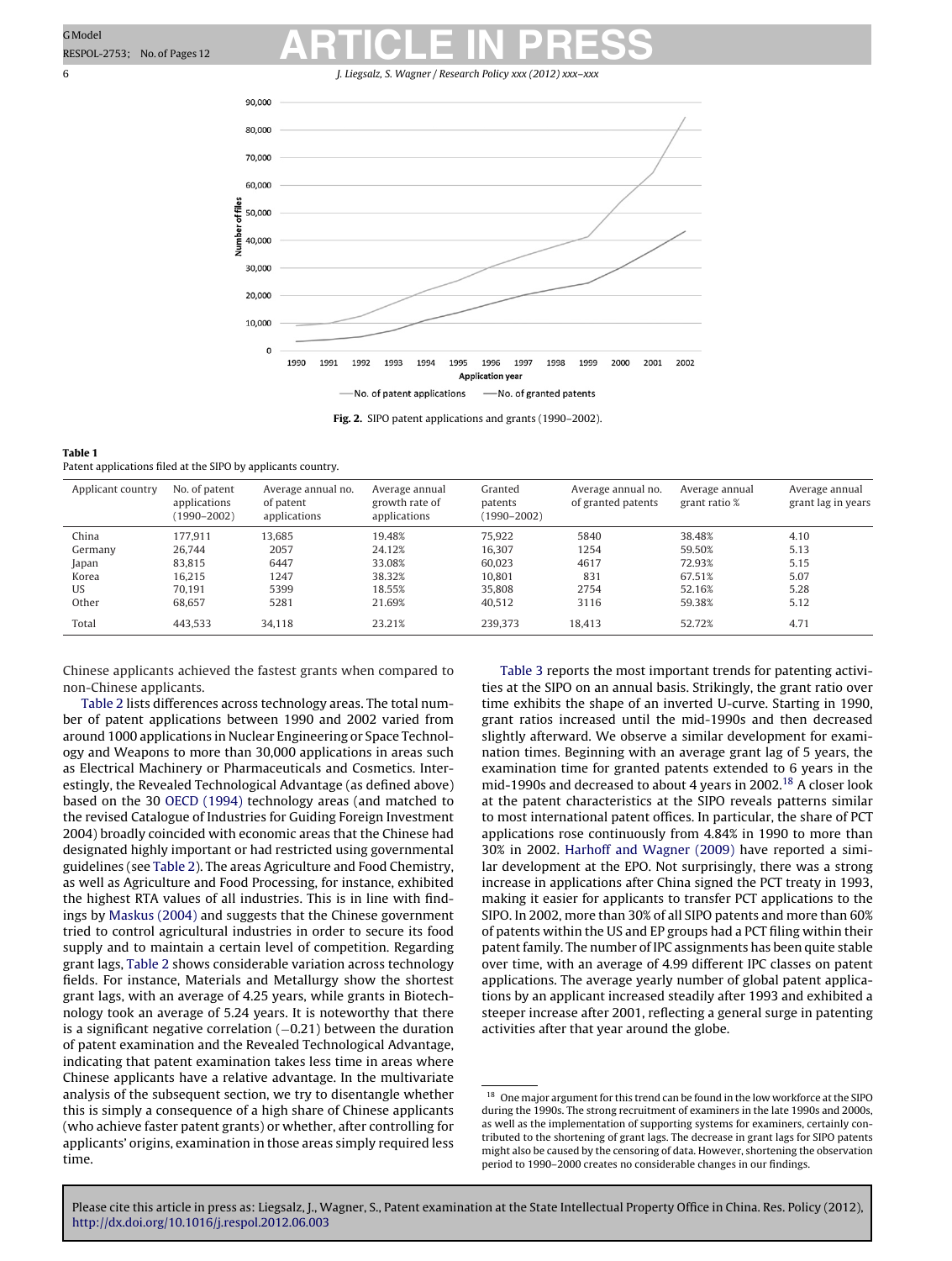<span id="page-5-0"></span>6 J. Liegsalz, S. Wagner / Research Policy *xxx (2012) xxx–xxx*



**Fig. 2.** SIPO patent applications and grants (1990–2002).

| Table 1                                                      |  |
|--------------------------------------------------------------|--|
| Patent applications filed at the SIPO by applicants country. |  |

| Applicant country | No. of patent<br>applications<br>$(1990 - 2002)$ | Average annual no.<br>of patent<br>applications | Average annual<br>growth rate of<br>applications | Granted<br>patents<br>(1990–2002) | Average annual no.<br>of granted patents | Average annual<br>grant ratio % | Average annual<br>grant lag in years |
|-------------------|--------------------------------------------------|-------------------------------------------------|--------------------------------------------------|-----------------------------------|------------------------------------------|---------------------------------|--------------------------------------|
| China             | 177.911                                          | 13.685                                          | 19.48%                                           | 75.922                            | 5840                                     | 38.48%                          | 4.10                                 |
| Germany           | 26.744                                           | 2057                                            | 24.12%                                           | 16.307                            | 1254                                     | 59.50%                          | 5.13                                 |
| Japan             | 83.815                                           | 6447                                            | 33.08%                                           | 60.023                            | 4617                                     | 72.93%                          | 5.15                                 |
| Korea             | 16.215                                           | 1247                                            | 38.32%                                           | 10.801                            | 831                                      | 67.51%                          | 5.07                                 |
| <b>US</b>         | 70.191                                           | 5399                                            | 18.55%                                           | 35,808                            | 2754                                     | 52.16%                          | 5.28                                 |
| Other             | 68.657                                           | 5281                                            | 21.69%                                           | 40.512                            | 3116                                     | 59.38%                          | 5.12                                 |
| Total             | 443.533                                          | 34.118                                          | 23.21%                                           | 239.373                           | 18.413                                   | 52.72%                          | 4.71                                 |

Chinese applicants achieved the fastest grants when compared to non-Chinese applicants.

[Table](#page-6-0) 2 lists differences across technology areas. The total number of patent applications between 1990 and 2002 varied from around 1000 applications in Nuclear Engineering or Space Technology and Weapons to more than 30,000 applications in areas such as Electrical Machinery or Pharmaceuticals and Cosmetics. Interestingly, the Revealed Technological Advantage (as defined above) based on the 30 [OECD](#page-10-0) [\(1994\)](#page-10-0) technology areas (and matched to the revised Catalogue of Industries for Guiding Foreign Investment 2004) broadly coincided with economic areas that the Chinese had designated highly important or had restricted using governmental guidelines (see [Table](#page-6-0) 2). The areas Agriculture and Food Chemistry, as well as Agriculture and Food Processing, for instance, exhibited the highest RTA values of all industries. This is in line with findings by [Maskus](#page-10-0) [\(2004\)](#page-10-0) and suggests that the Chinese government tried to control agricultural industries in order to secure its food supply and to maintain a certain level of competition. Regarding grant lags, [Table](#page-6-0) 2 shows considerable variation across technology fields. For instance, Materials and Metallurgy show the shortest grant lags, with an average of 4.25 years, while grants in Biotechnology took an average of 5.24 years. It is noteworthy that there is a significant negative correlation (-0.21) between the duration of patent examination and the Revealed Technological Advantage, indicating that patent examination takes less time in areas where Chinese applicants have a relative advantage. In the multivariate analysis of the subsequent section, we try to disentangle whether this is simply a consequence of a high share of Chinese applicants (who achieve faster patent grants) or whether, after controlling for applicants' origins, examination in those areas simply required less time.

[Table](#page-6-0) 3 reports the most important trends for patenting activities at the SIPO on an annual basis. Strikingly, the grant ratio over time exhibits the shape of an inverted U-curve. Starting in 1990, grant ratios increased until the mid-1990s and then decreased slightly afterward. We observe a similar development for examination times. Beginning with an average grant lag of 5 years, the examination time for granted patents extended to 6 years in the mid-1990s and decreased to about 4 years in 2002.18 A closer look at the patent characteristics at the SIPO reveals patterns similar to most international patent offices. In particular, the share of PCT applications rose continuously from 4.84% in 1990 to more than 30% in 2002. [Harhoff](#page-10-0) [and](#page-10-0) [Wagner](#page-10-0) [\(2009\)](#page-10-0) have reported a similar development at the EPO. Not surprisingly, there was a strong increase in applications after China signed the PCT treaty in 1993, making it easier for applicants to transfer PCT applications to the SIPO. In 2002, more than 30% of all SIPO patents and more than 60% of patents within the US and EP groups had a PCT filing within their patent family. The number of IPC assignments has been quite stable over time, with an average of 4.99 different IPC classes on patent applications. The average yearly number of global patent applications by an applicant increased steadily after 1993 and exhibited a steeper increase after 2001, reflecting a general surge in patenting activities after that year around the globe.

 $^{18}\,$  One major argument for this trend can be found in the low workforce at the SIPO during the 1990s. The strong recruitment of examiners in the late 1990s and 2000s, as well as the implementation of supporting systems for examiners, certainly contributed to the shortening of grant lags. The decrease in grant lags for SIPO patents might also be caused by the censoring of data. However, shortening the observation period to 1990–2000 creates no considerable changes in our findings.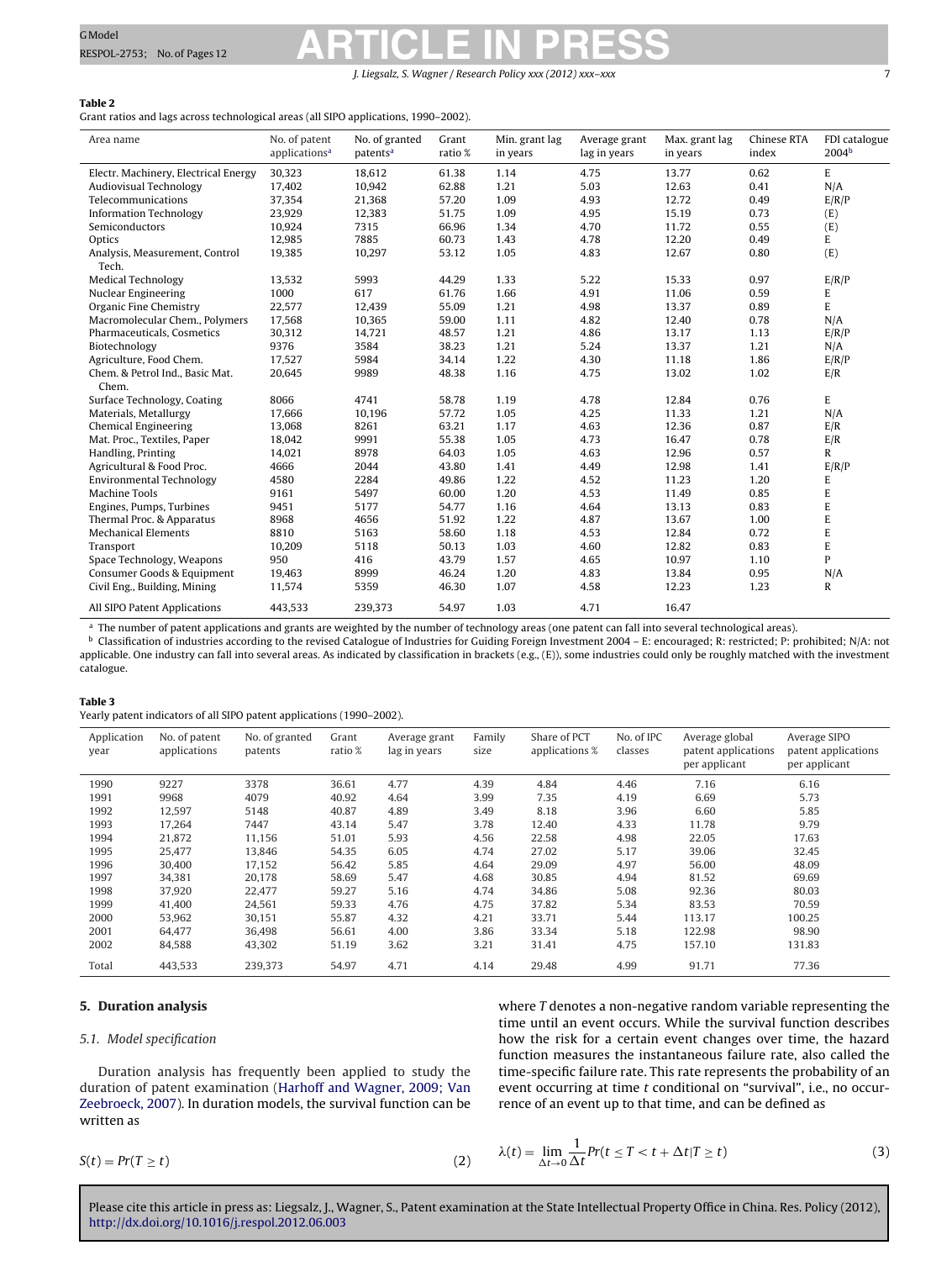J. Liegsalz, S. Wagner / Research Policy *xxx* (2012) xxx

#### <span id="page-6-0"></span>**Table 2**

Grant ratios and lags across technological areas (all SIPO applications, 1990–2002).

| Area name                               | No. of patent<br>applications <sup>a</sup> | No. of granted<br>patents <sup>a</sup> | Grant<br>ratio % | Min. grant lag<br>in years | Average grant<br>lag in years | Max. grant lag<br>in years | <b>Chinese RTA</b><br>index | FDI catalogue<br>2004 <sup>b</sup> |
|-----------------------------------------|--------------------------------------------|----------------------------------------|------------------|----------------------------|-------------------------------|----------------------------|-----------------------------|------------------------------------|
| Electr. Machinery, Electrical Energy    | 30,323                                     | 18,612                                 | 61.38            | 1.14                       | 4.75                          | 13.77                      | 0.62                        | E                                  |
| Audiovisual Technology                  | 17,402                                     | 10,942                                 | 62.88            | 1.21                       | 5.03                          | 12.63                      | 0.41                        | N/A                                |
| Telecommunications                      | 37,354                                     | 21,368                                 | 57.20            | 1.09                       | 4.93                          | 12.72                      | 0.49                        | E/R/P                              |
| <b>Information Technology</b>           | 23,929                                     | 12,383                                 | 51.75            | 1.09                       | 4.95                          | 15.19                      | 0.73                        | (E)                                |
| Semiconductors                          | 10,924                                     | 7315                                   | 66.96            | 1.34                       | 4.70                          | 11.72                      | 0.55                        | (E)                                |
| Optics                                  | 12,985                                     | 7885                                   | 60.73            | 1.43                       | 4.78                          | 12.20                      | 0.49                        | E                                  |
| Analysis, Measurement, Control<br>Tech. | 19,385                                     | 10,297                                 | 53.12            | 1.05                       | 4.83                          | 12.67                      | 0.80                        | (E)                                |
| <b>Medical Technology</b>               | 13,532                                     | 5993                                   | 44.29            | 1.33                       | 5.22                          | 15.33                      | 0.97                        | E/R/P                              |
| Nuclear Engineering                     | 1000                                       | 617                                    | 61.76            | 1.66                       | 4.91                          | 11.06                      | 0.59                        | E                                  |
| Organic Fine Chemistry                  | 22,577                                     | 12,439                                 | 55.09            | 1.21                       | 4.98                          | 13.37                      | 0.89                        | E                                  |
| Macromolecular Chem., Polymers          | 17,568                                     | 10,365                                 | 59.00            | 1.11                       | 4.82                          | 12.40                      | 0.78                        | N/A                                |
| Pharmaceuticals, Cosmetics              | 30,312                                     | 14,721                                 | 48.57            | 1.21                       | 4.86                          | 13.17                      | 1.13                        | E/R/P                              |
| Biotechnology                           | 9376                                       | 3584                                   | 38.23            | 1.21                       | 5.24                          | 13.37                      | 1.21                        | N/A                                |
| Agriculture, Food Chem.                 | 17,527                                     | 5984                                   | 34.14            | 1.22                       | 4.30                          | 11.18                      | 1.86                        | E/R/P                              |
| Chem. & Petrol Ind., Basic Mat.         | 20,645                                     | 9989                                   | 48.38            | 1.16                       | 4.75                          | 13.02                      | 1.02                        | E/R                                |
| Chem.                                   |                                            |                                        |                  |                            |                               |                            |                             |                                    |
| Surface Technology, Coating             | 8066                                       | 4741                                   | 58.78            | 1.19                       | 4.78                          | 12.84                      | 0.76                        | E                                  |
| Materials, Metallurgy                   | 17,666                                     | 10,196                                 | 57.72            | 1.05                       | 4.25                          | 11.33                      | 1.21                        | N/A                                |
| <b>Chemical Engineering</b>             | 13,068                                     | 8261                                   | 63.21            | 1.17                       | 4.63                          | 12.36                      | 0.87                        | E/R                                |
| Mat. Proc., Textiles, Paper             | 18,042                                     | 9991                                   | 55.38            | 1.05                       | 4.73                          | 16.47                      | 0.78                        | E/R                                |
| Handling, Printing                      | 14,021                                     | 8978                                   | 64.03            | 1.05                       | 4.63                          | 12.96                      | 0.57                        | R                                  |
| Agricultural & Food Proc.               | 4666                                       | 2044                                   | 43.80            | 1.41                       | 4.49                          | 12.98                      | 1.41                        | E/R/P                              |
| Environmental Technology                | 4580                                       | 2284                                   | 49.86            | 1.22                       | 4.52                          | 11.23                      | 1.20                        | E                                  |
| <b>Machine Tools</b>                    | 9161                                       | 5497                                   | 60.00            | 1.20                       | 4.53                          | 11.49                      | 0.85                        | $\mathsf E$                        |
| Engines, Pumps, Turbines                | 9451                                       | 5177                                   | 54.77            | 1.16                       | 4.64                          | 13.13                      | 0.83                        | E                                  |
| Thermal Proc. & Apparatus               | 8968                                       | 4656                                   | 51.92            | 1.22                       | 4.87                          | 13.67                      | 1.00                        | $\mathsf E$                        |
| <b>Mechanical Elements</b>              | 8810                                       | 5163                                   | 58.60            | 1.18                       | 4.53                          | 12.84                      | 0.72                        | $\mathsf E$                        |
| Transport                               | 10,209                                     | 5118                                   | 50.13            | 1.03                       | 4.60                          | 12.82                      | 0.83                        | $\mathbf E$                        |
| Space Technology, Weapons               | 950                                        | 416                                    | 43.79            | 1.57                       | 4.65                          | 10.97                      | 1.10                        | P                                  |
| Consumer Goods & Equipment              | 19,463                                     | 8999                                   | 46.24            | 1.20                       | 4.83                          | 13.84                      | 0.95                        | N/A                                |
| Civil Eng., Building, Mining            | 11,574                                     | 5359                                   | 46.30            | 1.07                       | 4.58                          | 12.23                      | 1.23                        | R                                  |
| All SIPO Patent Applications            | 443,533                                    | 239,373                                | 54.97            | 1.03                       | 4.71                          | 16.47                      |                             |                                    |

<sup>a</sup> The number of patent applications and grants are weighted by the number of technology areas (one patent can fall into several technological areas).

**b** Classification of industries according to the revised Catalogue of Industries for Guiding Foreign Investment 2004 – E: encouraged; R: restricted; P: prohibited; N/A: not applicable. One industry can fall into several areas. As indicated by classification in brackets (e.g., (E)), some industries could only be roughly matched with the investment catalogue.

#### **Table 3** Yearly patent indicators of all SIPO patent applications (1990–2002).

| Application<br>year | No. of patent<br>applications | No. of granted<br>patents | Grant<br>ratio % | Average grant<br>lag in years | Family<br>size | Share of PCT<br>applications % | No. of IPC<br>classes | Average global<br>patent applications<br>per applicant | Average SIPO<br>patent applications<br>per applicant |
|---------------------|-------------------------------|---------------------------|------------------|-------------------------------|----------------|--------------------------------|-----------------------|--------------------------------------------------------|------------------------------------------------------|
| 1990                | 9227                          | 3378                      | 36.61            | 4.77                          | 4.39           | 4.84                           | 4.46                  | 7.16                                                   | 6.16                                                 |
| 1991                | 9968                          | 4079                      | 40.92            | 4.64                          | 3.99           | 7.35                           | 4.19                  | 6.69                                                   | 5.73                                                 |
| 1992                | 12,597                        | 5148                      | 40.87            | 4.89                          | 3.49           | 8.18                           | 3.96                  | 6.60                                                   | 5.85                                                 |
| 1993                | 17,264                        | 7447                      | 43.14            | 5.47                          | 3.78           | 12.40                          | 4.33                  | 11.78                                                  | 9.79                                                 |
| 1994                | 21,872                        | 11,156                    | 51.01            | 5.93                          | 4.56           | 22.58                          | 4.98                  | 22.05                                                  | 17.63                                                |
| 1995                | 25,477                        | 13.846                    | 54.35            | 6.05                          | 4.74           | 27.02                          | 5.17                  | 39.06                                                  | 32.45                                                |
| 1996                | 30,400                        | 17,152                    | 56.42            | 5.85                          | 4.64           | 29.09                          | 4.97                  | 56.00                                                  | 48.09                                                |
| 1997                | 34,381                        | 20,178                    | 58.69            | 5.47                          | 4.68           | 30.85                          | 4.94                  | 81.52                                                  | 69.69                                                |
| 1998                | 37,920                        | 22,477                    | 59.27            | 5.16                          | 4.74           | 34.86                          | 5.08                  | 92.36                                                  | 80.03                                                |
| 1999                | 41,400                        | 24,561                    | 59.33            | 4.76                          | 4.75           | 37.82                          | 5.34                  | 83.53                                                  | 70.59                                                |
| 2000                | 53,962                        | 30,151                    | 55.87            | 4.32                          | 4.21           | 33.71                          | 5.44                  | 113.17                                                 | 100.25                                               |
| 2001                | 64,477                        | 36.498                    | 56.61            | 4.00                          | 3.86           | 33.34                          | 5.18                  | 122.98                                                 | 98.90                                                |
| 2002                | 84,588                        | 43,302                    | 51.19            | 3.62                          | 3.21           | 31.41                          | 4.75                  | 157.10                                                 | 131.83                                               |
| Total               | 443,533                       | 239,373                   | 54.97            | 4.71                          | 4.14           | 29.48                          | 4.99                  | 91.71                                                  | 77.36                                                |

#### **5. Duration analysis**

#### 5.1. Model specification

Duration analysis has frequently been applied to study the duration of patent examination [\(Harhoff](#page-10-0) [and](#page-10-0) [Wagner,](#page-10-0) [2009;](#page-10-0) [Van](#page-10-0) [Zeebroeck,](#page-10-0) [2007\).](#page-10-0) In duration models, the survival function can be written as

 $S(t) = Pr(T \ge t)$  (2)

where 
$$
T
$$
 denotes a non-negative random variable representing the time until an event occurs. While the survival function describes how the risk for a certain event changes over time, the hazard function measures the instantaneous failure rate, also called the time-specific failure rate. This rate represents the probability of an event occurring at time  $t$  conditional on "survival", i.e., no occurrence of an event up to that time, and can be defined as

$$
\lambda(t) = \lim_{\Delta t \to 0} \frac{1}{\Delta t} Pr(t \le T < t + \Delta t | T \ge t) \tag{3}
$$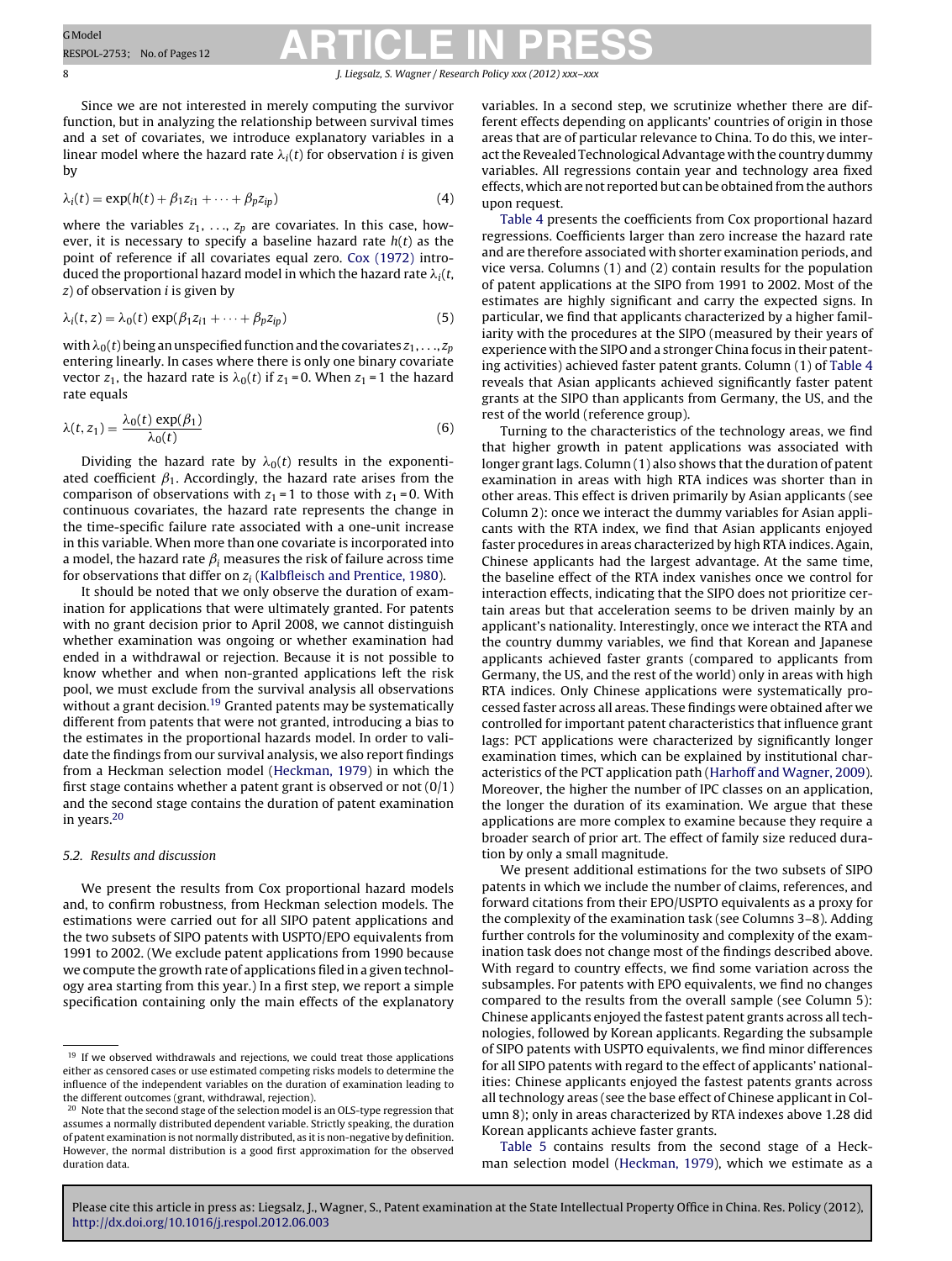8 **1. Liegsalz, S. Wagner / Research Policy** *xxx* **(2012)** *xxx* 

Since we are not interested in merely computing the survivor function, but in analyzing the relationship between survival times and a set of covariates, we introduce explanatory variables in a linear model where the hazard rate  $\lambda_i(t)$  for observation  $i$  is given by

$$
\lambda_i(t) = \exp(h(t) + \beta_1 z_{i1} + \dots + \beta_p z_{ip})
$$
\n(4)

where the variables  $z_1, \ldots, z_p$  are covariates. In this case, however, it is necessary to specify a baseline hazard rate  $h(t)$  as the point of reference if all covariates equal zero. [Cox](#page-10-0) [\(1972\)](#page-10-0) introduced the proportional hazard model in which the hazard rate  $\lambda_i(t,$  $z$ ) of observation *i* is given by

$$
\lambda_i(t, z) = \lambda_0(t) \exp(\beta_1 z_{i1} + \dots + \beta_p z_{ip})
$$
\n(5)

with  $\lambda_{0}(t)$  being an unspecified function and the covariates  $z_{1},...,z_{p}$ entering linearly. In cases where there is only one binary covariate vector  $z_1$ , the hazard rate is  $\lambda_0(t)$  if  $z_1$  = 0. When  $z_1$  = 1 the hazard rate equals

$$
\lambda(t, z_1) = \frac{\lambda_0(t) \exp(\beta_1)}{\lambda_0(t)}
$$
\n(6)

Dividing the hazard rate by  $\lambda_0(t)$  results in the exponentiated coefficient  $\beta_1$ . Accordingly, the hazard rate arises from the comparison of observations with  $z_1 = 1$  to those with  $z_1 = 0$ . With continuous covariates, the hazard rate represents the change in the time-specific failure rate associated with a one-unit increase in this variable. When more than one covariate is incorporated into a model, the hazard rate  $\beta_i$  measures the risk of failure across time for observations that differ on  $z_i$  ([Kalbfleisch](#page-10-0) [and](#page-10-0) [Prentice,](#page-10-0) [1980\).](#page-10-0)

It should be noted that we only observe the duration of examination for applications that were ultimately granted. For patents with no grant decision prior to April 2008, we cannot distinguish whether examination was ongoing or whether examination had ended in a withdrawal or rejection. Because it is not possible to know whether and when non-granted applications left the risk pool, we must exclude from the survival analysis all observations without a grant decision.<sup>19</sup> Granted patents may be systematically different from patents that were not granted, introducing a bias to the estimates in the proportional hazards model. In order to validate the findings from our survival analysis, we also report findings from a Heckman selection model [\(Heckman,](#page-10-0) [1979\)](#page-10-0) in which the first stage contains whether a patent grant is observed or not  $(0/1)$ and the second stage contains the duration of patent examination in years.20

#### 5.2. Results and discussion

We present the results from Cox proportional hazard models and, to confirm robustness, from Heckman selection models. The estimations were carried out for all SIPO patent applications and the two subsets of SIPO patents with USPTO/EPO equivalents from 1991 to 2002. (We exclude patent applications from 1990 because we compute the growth rate of applications filed in a given technology area starting from this year.) In a first step, we report a simple specification containing only the main effects of the explanatory variables. In a second step, we scrutinize whether there are different effects depending on applicants' countries of origin in those areas that are of particular relevance to China. To do this, we interact the Revealed Technological Advantage with the country dummy variables. All regressions contain year and technology area fixed effects, which are not reported but can be obtained from the authors upon request.

[Table](#page-8-0) 4 presents the coefficients from Cox proportional hazard regressions. Coefficients larger than zero increase the hazard rate and are therefore associated with shorter examination periods, and vice versa. Columns (1) and (2) contain results for the population of patent applications at the SIPO from 1991 to 2002. Most of the estimates are highly significant and carry the expected signs. In particular, we find that applicants characterized by a higher familiarity with the procedures at the SIPO (measured by their years of experience with the SIPO and a stronger China focus in their patenting activities) achieved faster patent grants. Column (1) of [Table](#page-8-0) 4 reveals that Asian applicants achieved significantly faster patent grants at the SIPO than applicants from Germany, the US, and the rest of the world (reference group).

Turning to the characteristics of the technology areas, we find that higher growth in patent applications was associated with longer grant lags. Column (1) also shows that the duration of patent examination in areas with high RTA indices was shorter than in other areas. This effect is driven primarily by Asian applicants (see Column 2): once we interact the dummy variables for Asian applicants with the RTA index, we find that Asian applicants enjoyed faster procedures in areas characterized by high RTA indices. Again, Chinese applicants had the largest advantage. At the same time, the baseline effect of the RTA index vanishes once we control for interaction effects, indicating that the SIPO does not prioritize certain areas but that acceleration seems to be driven mainly by an applicant's nationality. Interestingly, once we interact the RTA and the country dummy variables, we find that Korean and Japanese applicants achieved faster grants (compared to applicants from Germany, the US, and the rest of the world) only in areas with high RTA indices. Only Chinese applications were systematically processed faster across all areas. These findings were obtained after we controlled for important patent characteristics that influence grant lags: PCT applications were characterized by significantly longer examination times, which can be explained by institutional characteristics of the PCT application path ([Harhoff](#page-10-0) [and](#page-10-0) [Wagner,](#page-10-0) [2009\).](#page-10-0) Moreover, the higher the number of IPC classes on an application, the longer the duration of its examination. We argue that these applications are more complex to examine because they require a broader search of prior art. The effect of family size reduced duration by only a small magnitude.

We present additional estimations for the two subsets of SIPO patents in which we include the number of claims, references, and forward citations from their EPO/USPTO equivalents as a proxy for the complexity of the examination task (see Columns 3–8). Adding further controls for the voluminosity and complexity of the examination task does not change most of the findings described above. With regard to country effects, we find some variation across the subsamples. For patents with EPO equivalents, we find no changes compared to the results from the overall sample (see Column 5): Chinese applicants enjoyed the fastest patent grants across all technologies, followed by Korean applicants. Regarding the subsample of SIPO patents with USPTO equivalents, we find minor differences for all SIPO patents with regard to the effect of applicants' nationalities: Chinese applicants enjoyed the fastest patents grants across all technology areas (see the base effect of Chinese applicant in Column 8); only in areas characterized by RTA indexes above 1.28 did Korean applicants achieve faster grants.

[Table](#page-9-0) 5 contains results from the second stage of a Heckman selection model ([Heckman,](#page-10-0) [1979\),](#page-10-0) which we estimate as a

<sup>&</sup>lt;sup>19</sup> If we observed withdrawals and rejections, we could treat those applications either as censored cases or use estimated competing risks models to determine the influence of the independent variables on the duration of examination leading to the different outcomes (grant, withdrawal, rejection).

<sup>&</sup>lt;sup>20</sup> Note that the second stage of the selection model is an OLS-type regression that assumes a normally distributed dependent variable. Strictly speaking, the duration of patent examination is not normally distributed, as it is non-negative by definition. However, the normal distribution is a good first approximation for the observed duration data.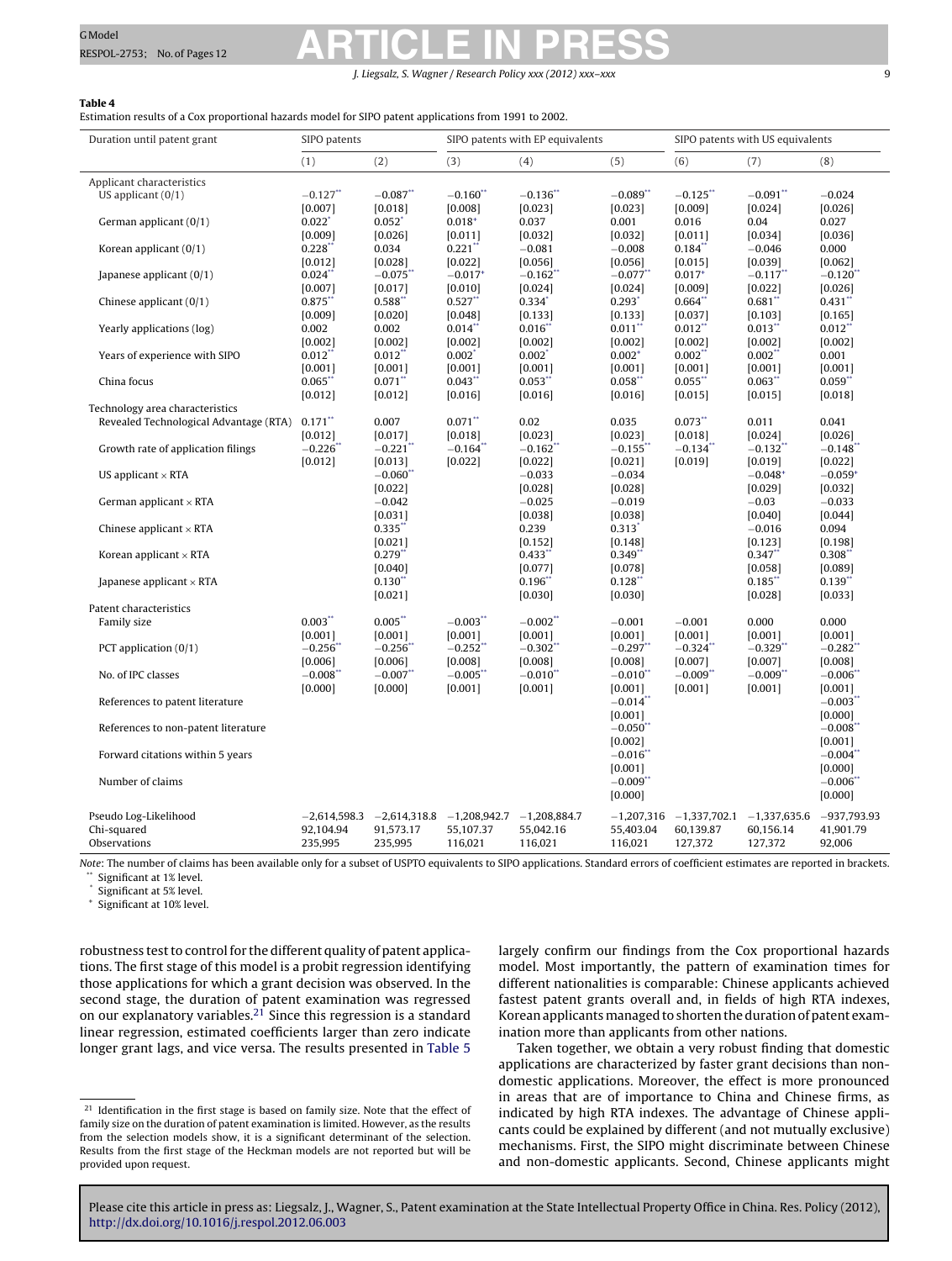J. Liegsalz, S. Wagner / Research Policy *xxx (2012) xxx–xxx* 9

#### <span id="page-8-0"></span>**Table 4**

Estimation results of a Cox proportional hazards model for SIPO patent applications from 1991 to 2002.

| Duration until patent grant                    | SIPO patents           |                        | SIPO patents with EP equivalents             |                        |                       | SIPO patents with US equivalents |                        |                        |
|------------------------------------------------|------------------------|------------------------|----------------------------------------------|------------------------|-----------------------|----------------------------------|------------------------|------------------------|
|                                                | (1)                    | (2)                    | (3)                                          | (4)                    | (5)                   | (6)                              | (7)                    | (8)                    |
| Applicant characteristics                      |                        |                        |                                              |                        |                       |                                  |                        |                        |
| US applicant $(0/1)$                           | $-0.127$ **            | $-0.087**$             | $-0.160$ **                                  | $-0.136$ <sup>**</sup> | $-0.089$ **           | $-0.125$ **                      | $-0.091**$             | $-0.024$               |
|                                                | [0.007]                | [0.018]                | [0.008]                                      | [0.023]                | [0.023]               | [0.009]                          | [0.024]                | [0.026]                |
| German applicant (0/1)                         | $0.022$ <sup>*</sup>   | $0.052$ <sup>*</sup>   | $0.018^{+}$                                  | 0.037                  | 0.001                 | 0.016                            | 0.04                   | 0.027                  |
|                                                | [0.009]                | [0.026]                | [0.011]                                      | [0.032]                | [0.032]               | [0.011]                          | [0.034]                | [0.036]                |
| Korean applicant $(0/1)$                       | $0.228$ **             | 0.034                  | $0.221$ **                                   | $-0.081$               | $-0.008$              | $0.184$ **                       | $-0.046$               | 0.000                  |
|                                                | [0.012]                | [0.028]                | [0.022]                                      | [0.056]                | [0.056]               | [0.015]                          | [0.039]                | [0.062]                |
| Japanese applicant $(0/1)$                     | $0.024$ **             | $-0.075$ **            | $-0.017$ <sup>+</sup>                        | $-0.162$ **            | $-0.077$ **           | $0.017+$                         | $-0.117$ **            | $-0.120$ **            |
|                                                | [0.007]                | [0.017]                | [0.010]                                      | [0.024]                | [0.024]               | [0.009]                          | [0.022]                | [0.026]                |
| Chinese applicant $(0/1)$                      | 0.875                  | 0.588"                 | $0.527$ **                                   | $0.334^{*}$            | $0.293$ <sup>*</sup>  | 0.664"                           | $0.681$ <sup>*</sup>   | 0.431                  |
|                                                | [0.009]<br>0.002       | [0.020]<br>0.002       | [0.048]<br>$0.014$ <sup>**</sup>             | [0.133]<br>$0.016*$    | [0.133]<br>0.011"     | [0.037]<br>$0.012$ **            | [0.103]<br>0.013       | [0.165]<br>0.012       |
| Yearly applications (log)                      | [0.002]                | [0.002]                | [0.002]                                      | [0.002]                | [0.002]               | [0.002]                          | [0.002]                | [0.002]                |
| Years of experience with SIPO                  | $0.012$ **             | $0.012$ **             | $0.002*$                                     | $0.002*$               | $0.002^{+}$           | $0.002$ **                       | $0.002$ **             | 0.001                  |
|                                                | [0.001]                | [0.001]                | [0.001]                                      | [0.001]                | [0.001]               | [0.001]                          | [0.001]                | [0.001]                |
| China focus                                    | $0.065$ **             | $0.071$ **             | $0.043$ **                                   | $0.053$ **             | $0.058$ **            | 0.055                            | $0.063$ **             | $0.059$ **             |
|                                                | [0.012]                | [0.012]                | [0.016]                                      | [0.016]                | [0.016]               | [0.015]                          | [0.015]                | [0.018]                |
| Technology area characteristics                |                        |                        |                                              |                        |                       |                                  |                        |                        |
| Revealed Technological Advantage (RTA) 0.171** |                        | 0.007                  | $0.071**$                                    | 0.02                   | 0.035                 | $0.073$ **                       | 0.011                  | 0.041                  |
|                                                | [0.012]                | [0.017]                | [0.018]                                      | [0.023]                | [0.023]               | [0.018]                          | [0.024]                | [0.026]                |
| Growth rate of application filings             | $-0.226$ *             | $-0.221$               | $-0.164$ **                                  | $-0.162$ **            | $-0.155$ *            | $-0.134$ **                      | $-0.132$ **            | $-0.148$ <sup>**</sup> |
|                                                | [0.012]                | [0.013]                | [0.022]                                      | [0.022]                | [0.021]               | [0.019]                          | [0.019]                | [0.022]                |
| US applicant $\times$ RTA                      |                        | $-0.060$ <sup>**</sup> |                                              | $-0.033$               | $-0.034$              |                                  | $-0.048^{+}$           | $-0.059^{+}$           |
|                                                |                        | [0.022]                |                                              | [0.028]                | [0.028]               |                                  | [0.029]                | [0.032]                |
| German applicant $\times$ RTA                  |                        | $-0.042$               |                                              | $-0.025$               | $-0.019$              |                                  | $-0.03$                | $-0.033$               |
|                                                |                        | [0.031]                |                                              | [0.038]                | [0.038]               |                                  | [0.040]                | [0.044]                |
| Chinese applicant $\times$ RTA                 |                        | $0.335$ **             |                                              | 0.239                  | $0.313*$              |                                  | $-0.016$               | 0.094                  |
|                                                |                        | [0.021]                |                                              | [0.152]                | [0.148]               |                                  | [0.123]                | [0.198]                |
| Korean applicant $\times$ RTA                  |                        | $0.279$ **             |                                              | $0.433$ **             | $0.349$ **            |                                  | $0.347**$              | 0.308"                 |
|                                                |                        | [0.040]                |                                              | [0.077]                | [0.078]               |                                  | [0.058]                | [0.089]                |
| Japanese applicant $\times$ RTA                |                        | $0.130^{*}$            |                                              | $0.196*$               | 0.128                 |                                  | $0.185$ <sup>*</sup>   | 0.139                  |
| Patent characteristics                         |                        | [0.021]                |                                              | [0.030]                | [0.030]               |                                  | [0.028]                | [0.033]                |
| Family size                                    | $0.003**$              | $0.005$ **             | $-0.003$ **                                  | $-0.002$ **            | $-0.001$              | $-0.001$                         | 0.000                  | 0.000                  |
|                                                | [0.001]                | [0.001]                | [0.001]                                      | [0.001]                | [0.001]               | [0.001]                          | [0.001]                | [0.001]                |
| PCT application $(0/1)$                        | $-0.256$ *             | $-0.256$ <sup>*</sup>  | $-0.252$                                     | $-0.302$ **            | $-0.297$ **           | $-0.324$ **                      | $-0.329$ <sup>**</sup> | $-0.282$ <sup>**</sup> |
|                                                | [0.006]                | [0.006]                | [0.008]                                      | [0.008]                | [0.008]               | [0.007]                          | [0.007]                | [0.008]                |
| No. of IPC classes                             | $-0.008$ <sup>**</sup> | $-0.007$ **            | $-0.005$ **                                  | $-0.010$ **            | $-0.010$ **           | $-0.009$ **                      | $-0.009$ **            | $-0.006"$              |
|                                                | [0.000]                | [0.000]                | [0.001]                                      | [0.001]                | [0.001]               | [0.001]                          | [0.001]                | [0.001]                |
| References to patent literature                |                        |                        |                                              |                        | $-0.014$ **           |                                  |                        | $-0.003$               |
|                                                |                        |                        |                                              |                        | [0.001]               |                                  |                        | [0.000]                |
| References to non-patent literature            |                        |                        |                                              |                        | $-0.050$              |                                  |                        | $-0.008$ <sup>**</sup> |
|                                                |                        |                        |                                              |                        | [0.002]               |                                  |                        | [0.001]                |
| Forward citations within 5 years               |                        |                        |                                              |                        | $-0.016$ <sup>*</sup> |                                  |                        | $-0.004$ <sup>*</sup>  |
|                                                |                        |                        |                                              |                        | [0.001]               |                                  |                        | [0.000]                |
| Number of claims                               |                        |                        |                                              |                        | $-0.009$ **           |                                  |                        | $-0.006"$              |
|                                                |                        |                        |                                              |                        | [0.000]               |                                  |                        | [0.000]                |
| Pseudo Log-Likelihood                          | $-2,614,598.3$         |                        | $-2,614,318.8$ $-1,208,942.7$ $-1,208,884.7$ |                        | $-1,207,316$          | $-1,337,702.1$ $-1,337,635.6$    |                        | $-937,793.93$          |
| Chi-squared                                    | 92,104.94              | 91,573.17              | 55,107.37                                    | 55,042.16              | 55,403.04             | 60,139.87                        | 60,156.14              | 41,901.79              |
| Observations                                   | 235,995                | 235,995                | 116,021                                      | 116,021                | 116,021               | 127,372                          | 127,372                | 92,006                 |
|                                                |                        |                        |                                              |                        |                       |                                  |                        |                        |

Note: The number of claims has been available only for a subset of USPTO equivalents to SIPO applications. Standard errors of coefficient estimates are reported in brackets. Significant at 1% level.

Significant at 5% level.

Significant at 10% level.

robustness test to control for the different quality of patent applications. The first stage of this model is a probit regression identifying those applications for which a grant decision was observed. In the second stage, the duration of patent examination was regressed on our explanatory variables.21 Since this regression is a standard linear regression, estimated coefficients larger than zero indicate longer grant lags, and vice versa. The results presented in [Table](#page-9-0) 5 largely confirm our findings from the Cox proportional hazards model. Most importantly, the pattern of examination times for different nationalities is comparable: Chinese applicants achieved fastest patent grants overall and, in fields of high RTA indexes, Korean applicants managed to shorten the duration of patent examination more than applicants from other nations.

Taken together, we obtain a very robust finding that domestic applications are characterized by faster grant decisions than nondomestic applications. Moreover, the effect is more pronounced in areas that are of importance to China and Chinese firms, as indicated by high RTA indexes. The advantage of Chinese applicants could be explained by different (and not mutually exclusive) mechanisms. First, the SIPO might discriminate between Chinese and non-domestic applicants. Second, Chinese applicants might

 $21$  Identification in the first stage is based on family size. Note that the effect of family size on the duration of patent examination is limited. However, as the results from the selection models show, it is a significant determinant of the selection. Results from the first stage of the Heckman models are not reported but will be provided upon request.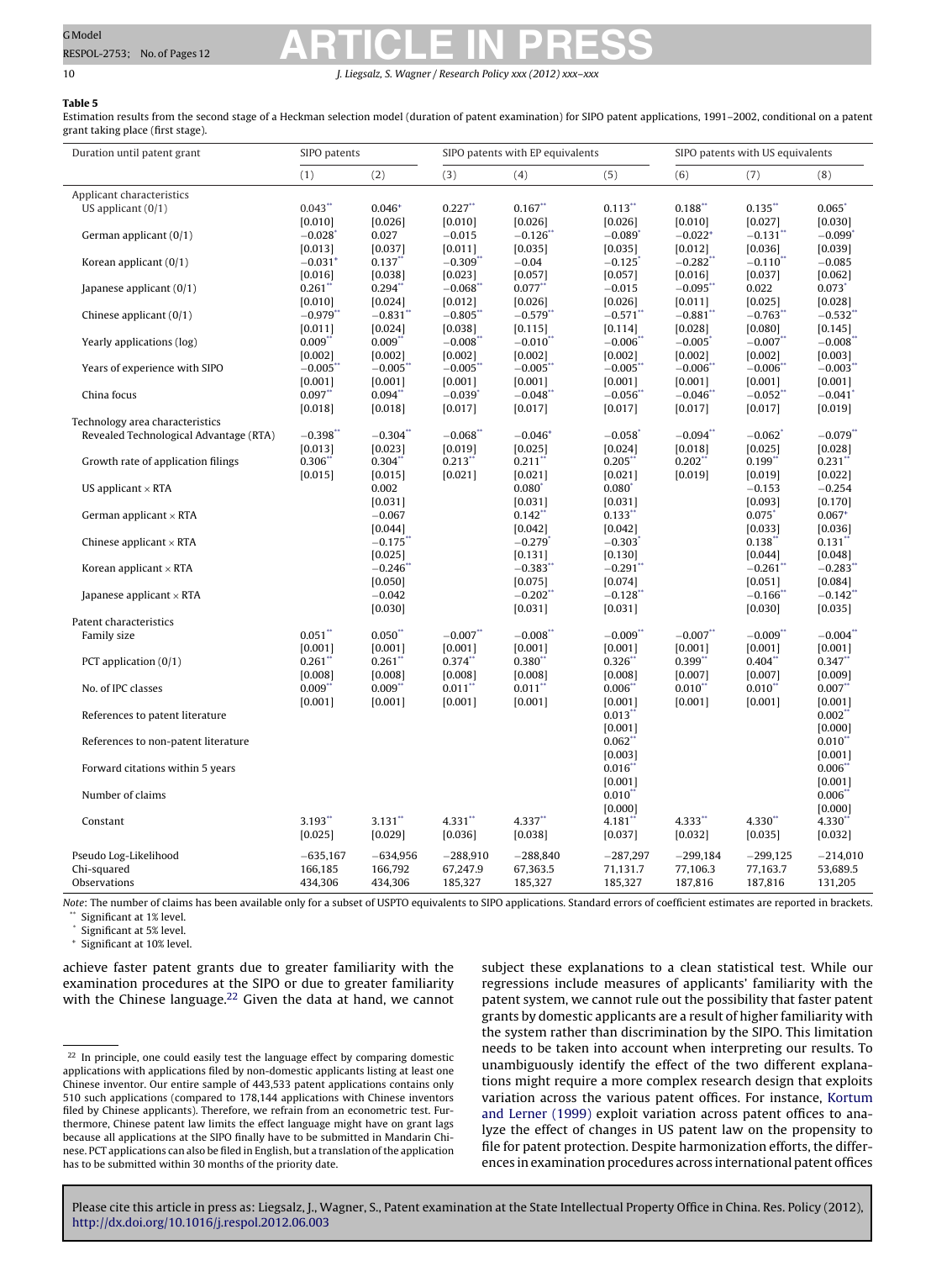<span id="page-9-0"></span>10 **J. Liegsalz, S. Wagner / Research Policy** *xxx* **(2012)** *xx* 

#### **Table 5**

Estimation results from the second stage of a Heckman selection model (duration of patent examination) for SIPO patent applications, 1991–2002, conditional on a patent grant taking place (first stage).

| Duration until patent grant            | SIPO patents           |                       |                       | SIPO patents with EP equivalents |                       | SIPO patents with US equivalents |                       |                       |
|----------------------------------------|------------------------|-----------------------|-----------------------|----------------------------------|-----------------------|----------------------------------|-----------------------|-----------------------|
|                                        | (1)                    | (2)                   | (3)                   | (4)                              | (5)                   | (6)                              | (7)                   | (8)                   |
| Applicant characteristics              |                        |                       |                       |                                  |                       |                                  |                       |                       |
| US applicant $(0/1)$                   | $0.043$ **             | $0.046^{+}$           | $0.227$ **            | $0.167**$                        | $0.113$ **            | $0.188$ **                       | $0.135$ **            | 0.065                 |
|                                        | [0.010]                | [0.026]               | [0.010]               | [0.026]                          | [0.026]               | [0.010]                          | [0.027]               | [0.030]               |
| German applicant (0/1)                 | $-0.028$               | 0.027                 | $-0.015$              | $-0.126$ <sup>*</sup>            | $-0.089$ <sup>*</sup> | $-0.022$ <sup>+</sup>            | $-0.131$              | $-0.099'$             |
|                                        | [0.013]                | [0.037]               | [0.011]               | [0.035]                          | [0.035]               | [0.012]                          | [0.036]               | [0.039]               |
| Korean applicant (0/1)                 | $-0.031$ <sup>+</sup>  | $0.137$ **            | $-0.309$ **           | $-0.04$                          | $-0.125$              | $-0.282$ <sup>**</sup>           | $-0.110$ **           | $-0.085$              |
|                                        | [0.016]                | [0.038]               | [0.023]               | [0.057]                          | [0.057]               | [0.016]                          | [0.037]               | [0.062]               |
| Japanese applicant (0/1)               | $0.261$ **             | $0.294$ **            | $-0.068$ **           | $0.077$ **                       | $-0.015$              | $-0.095$ **                      | 0.022                 | $0.073*$              |
|                                        | [0.010]                | [0.024]               | [0.012]               | [0.026]                          | [0.026]               | [0.011]                          | [0.025]               | [0.028]               |
| Chinese applicant $(0/1)$              | $-0.979$ <sup>**</sup> | $-0.831$ <sup>*</sup> | $-0.805$ <sup>*</sup> | $-0.579$                         | $-0.571$ <sup>*</sup> | $-0.881$ <sup>*</sup>            | $-0.763$              | $-0.532$ <sup>*</sup> |
|                                        | [0.011]                | [0.024]               | [0.038]               | [0.115]                          | [0.114]               | [0.028]                          | [0.080]               | [0.145]               |
| Yearly applications (log)              | 0.009"                 | $0.009$ **            | $-0.008"$             | $-0.010$ **                      | $-0.006$ *            | $-0.005$                         | $-0.007$ **           | $-0.008$ *            |
|                                        | [0.002]                | [0.002]               | [0.002]               | [0.002]                          | [0.002]               | [0.002]                          | [0.002]               | [0.003]               |
| Years of experience with SIPO          | $-0.005$ <sup>*</sup>  | $-0.005$ *            | $-0.005"$             | $-0.005"$                        | $-0.005$ *            | $-0.006$ *                       | $-0.006"$             | $-0.003"$             |
|                                        | [0.001]                | [0.001]               | [0.001]               | [0.001]                          | [0.001]               | [0.001]                          | [0.001]               | [0.001]               |
| China focus                            | $0.097**$              | 0.094                 | $-0.039$ <sup>*</sup> | $-0.048$                         | $-0.056$ <sup>*</sup> | $-0.046$ *                       | $-0.052$              | $-0.041$ <sup>*</sup> |
|                                        | [0.018]                | [0.018]               | [0.017]               | [0.017]                          | [0.017]               | [0.017]                          | [0.017]               | [0.019]               |
| Technology area characteristics        |                        |                       |                       |                                  |                       |                                  |                       |                       |
| Revealed Technological Advantage (RTA) | $-0.398**$             | $-0.304$ **           | $-0.068**$            | $-0.046^{+}$                     | $-0.058$ <sup>*</sup> | $-0.094$ **                      | $-0.062$ <sup>*</sup> | $-0.079**$            |
|                                        | [0.013]<br>0.306"      | [0.023]               | [0.019]<br>$0.213$ ** | [0.025]                          | [0.024]               | [0.018]<br>$0.202$ **            | [0.025]               | [0.028]               |
| Growth rate of application filings     |                        | 0.304"                |                       | 0.211"                           | $0.205$ **            |                                  | $0.199$ **            | $0.231$ **            |
|                                        | [0.015]                | [0.015]<br>0.002      | [0.021]               | [0.021]                          | [0.021]               | [0.019]                          | [0.019]               | [0.022]               |
| US applicant $\times$ RTA              |                        | [0.031]               |                       | 0.080<br>[0.031]                 | 0.080<br>[0.031]      |                                  | $-0.153$<br>[0.093]   | $-0.254$<br>[0.170]   |
| German applicant $\times$ RTA          |                        | $-0.067$              |                       | 0.142                            | $0.133$ **            |                                  | $0.075$ <sup>*</sup>  | $0.067+$              |
|                                        |                        | [0.044]               |                       | [0.042]                          | [0.042]               |                                  | [0.033]               | [0.036]               |
| Chinese applicant $\times$ RTA         |                        | $-0.175$ *            |                       | $-0.279$ <sup>*</sup>            | $-0.303$ <sup>*</sup> |                                  | $0.138$ **            | $0.131$ **            |
|                                        |                        | [0.025]               |                       | [0.131]                          | [0.130]               |                                  | [0.044]               | [0.048]               |
| Korean applicant $\times$ RTA          |                        | $-0.246$ <sup>*</sup> |                       | $-0.383$                         | $-0.291$ <sup>*</sup> |                                  | $-0.261$ <sup>*</sup> | $-0.283$ <sup>*</sup> |
|                                        |                        | [0.050]               |                       | [0.075]                          | [0.074]               |                                  | [0.051]               | [0.084]               |
| Japanese applicant $\times$ RTA        |                        | $-0.042$              |                       | $-0.202$                         | $-0.128$ <sup>*</sup> |                                  | $-0.166*$             | $-0.142$ <sup>*</sup> |
|                                        |                        | [0.030]               |                       | [0.031]                          | [0.031]               |                                  | [0.030]               | [0.035]               |
| Patent characteristics                 |                        |                       |                       |                                  |                       |                                  |                       |                       |
| Family size                            | $0.051**$              | $0.050**$             | $-0.007$ **           | $-0.008**$                       | $-0.009**$            | $-0.007**$                       | $-0.009$ **           | $-0.004**$            |
|                                        | [0.001]                | [0.001]               | [0.001]               | [0.001]                          | [0.001]               | [0.001]                          | [0.001]               | [0.001]               |
| PCT application $(0/1)$                | 0.261                  | $0.261$ <sup>*</sup>  | 0.374                 | $0.380^{*}$                      | $0.326*$              | 0.399                            | 0.404                 | $0.347$ **            |
|                                        | [0.008]                | [0.008]               | [0.008]               | [0.008]                          | [0.008]               | [0.007]                          | [0.007]               | [0.009]               |
| No. of IPC classes                     | $0.009$ **             | $0.009$ **            | 0.011                 | $0.011$ **                       | 0.006"                | $0.010**$                        | $0.010$ **            | $0.007**$             |
|                                        | [0.001]                | [0.001]               | [0.001]               | [0.001]                          | [0.001]               | [0.001]                          | [0.001]               | [0.001]               |
| References to patent literature        |                        |                       |                       |                                  | $0.013$ **            |                                  |                       | $0.002$ **            |
|                                        |                        |                       |                       |                                  | [0.001]               |                                  |                       | [0.000]               |
| References to non-patent literature    |                        |                       |                       |                                  | $0.062$ **            |                                  |                       | $0.010**$             |
|                                        |                        |                       |                       |                                  | [0.003]               |                                  |                       | [0.001]               |
| Forward citations within 5 years       |                        |                       |                       |                                  | 0.016"                |                                  |                       | $0.006*$              |
|                                        |                        |                       |                       |                                  | [0.001]               |                                  |                       | [0.001]               |
| Number of claims                       |                        |                       |                       |                                  | $0.010$ **            |                                  |                       | 0.006"                |
|                                        |                        |                       |                       |                                  | [0.000]               |                                  |                       | [0.000]               |
| Constant                               | $3.193**$              | $3.131$ <sup>**</sup> | 4.331**               | 4.337**                          | $4.181$ **            | 4.333'''                         | 4.330**               | 4.330**               |
|                                        | [0.025]                | [0.029]               | [0.036]               | [0.038]                          | [0.037]               | [0.032]                          | [0.035]               | [0.032]               |
| Pseudo Log-Likelihood                  | $-635,167$             | $-634,956$            | $-288,910$            | $-288,840$                       | $-287,297$            | $-299,184$                       | $-299,125$            | $-214,010$            |
| Chi-squared                            | 166,185                | 166,792               | 67,247.9              | 67,363.5                         | 71,131.7              | 77,106.3                         | 77,163.7              | 53,689.5              |
| Observations                           | 434,306                | 434,306               | 185,327               | 185,327                          | 185,327               | 187,816                          | 187,816               | 131,205               |
|                                        |                        |                       |                       |                                  |                       |                                  |                       |                       |

Note: The number of claims has been available only for a subset of USPTO equivalents to SIPO applications. Standard errors of coefficient estimates are reported in brackets.

Significant at 1% level. Significant at 5% level.

Significant at 10% level.

achieve faster patent grants due to greater familiarity with the examination procedures at the SIPO or due to greater familiarity with the Chinese language.<sup>22</sup> Given the data at hand, we cannot subject these explanations to a clean statistical test. While our regressions include measures of applicants' familiarity with the patent system, we cannot rule out the possibility that faster patent grants by domestic applicants are a result of higher familiarity with the system rather than discrimination by the SIPO. This limitation needs to be taken into account when interpreting our results. To unambiguously identify the effect of the two different explanations might require a more complex research design that exploits variation across the various patent offices. For instance, [Kortum](#page-10-0) [and](#page-10-0) [Lerner](#page-10-0) [\(1999\)](#page-10-0) exploit variation across patent offices to analyze the effect of changes in US patent law on the propensity to file for patent protection. Despite harmonization efforts, the differences in examination procedures across international patent offices

<sup>&</sup>lt;sup>22</sup> In principle, one could easily test the language effect by comparing domestic applications with applications filed by non-domestic applicants listing at least one Chinese inventor. Our entire sample of 443,533 patent applications contains only 510 such applications (compared to 178,144 applications with Chinese inventors filed by Chinese applicants). Therefore, we refrain from an econometric test. Furthermore, Chinese patent law limits the effect language might have on grant lags because all applications at the SIPO finally have to be submitted in Mandarin Chinese. PCT applications can also be filed in English, but a translation ofthe application has to be submitted within 30 months of the priority date.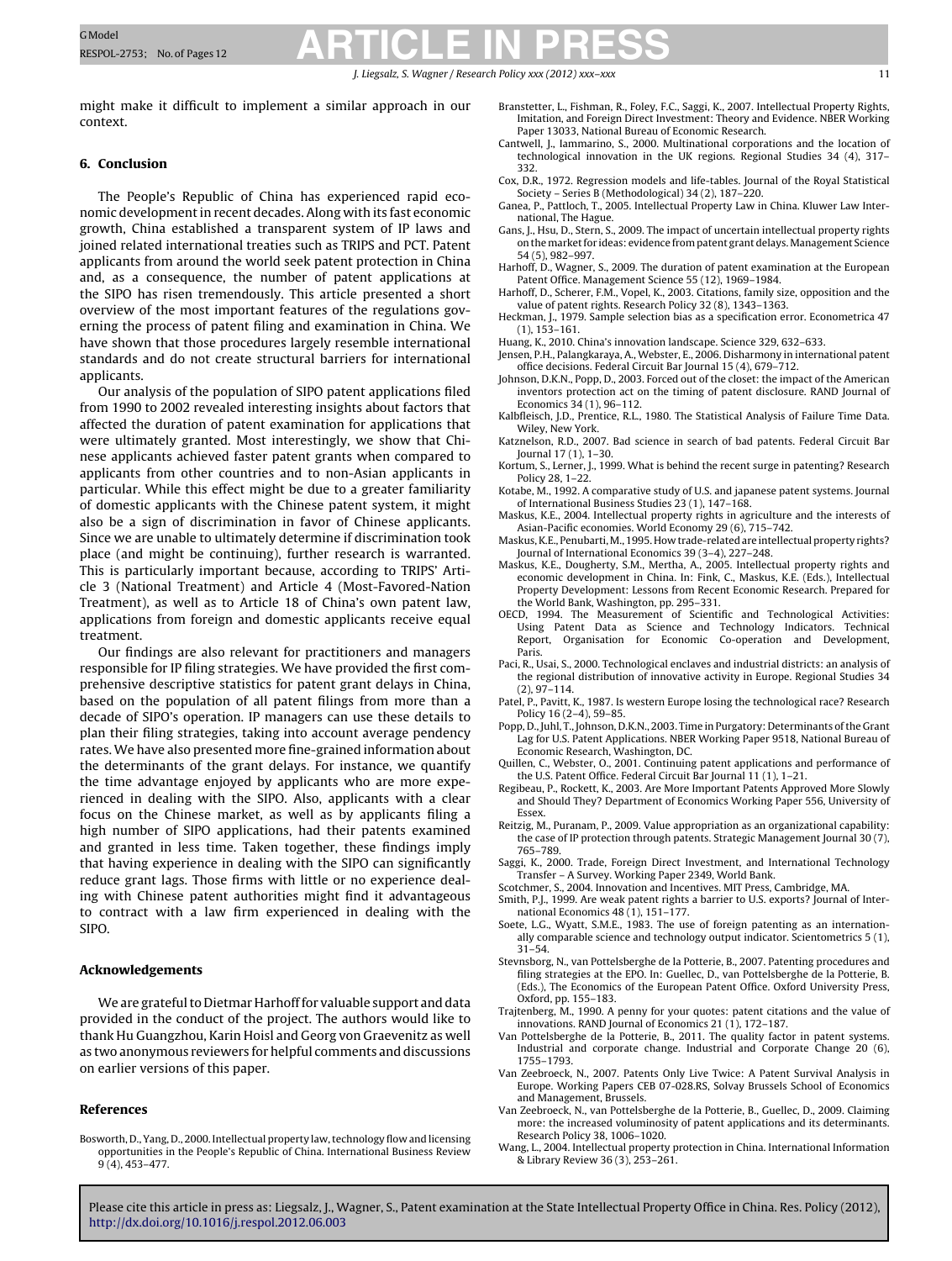J. Liegsalz, S. Wagner / Research Policy *xxx (2012) xxx–xxx* 11

<span id="page-10-0"></span>might make it difficult to implement a similar approach in our context.

#### **6. Conclusion**

The People's Republic of China has experienced rapid economic developmentin recent decades. Along with its fast economic growth, China established a transparent system of IP laws and joined related international treaties such as TRIPS and PCT. Patent applicants from around the world seek patent protection in China and, as a consequence, the number of patent applications at the SIPO has risen tremendously. This article presented a short overview of the most important features of the regulations governing the process of patent filing and examination in China. We have shown that those procedures largely resemble international standards and do not create structural barriers for international applicants.

Our analysis of the population of SIPO patent applications filed from 1990 to 2002 revealed interesting insights about factors that affected the duration of patent examination for applications that were ultimately granted. Most interestingly, we show that Chinese applicants achieved faster patent grants when compared to applicants from other countries and to non-Asian applicants in particular. While this effect might be due to a greater familiarity of domestic applicants with the Chinese patent system, it might also be a sign of discrimination in favor of Chinese applicants. Since we are unable to ultimately determine if discrimination took place (and might be continuing), further research is warranted. This is particularly important because, according to TRIPS' Article 3 (National Treatment) and Article 4 (Most-Favored-Nation Treatment), as well as to Article 18 of China's own patent law, applications from foreign and domestic applicants receive equal treatment.

Our findings are also relevant for practitioners and managers responsible for IP filing strategies. We have provided the first comprehensive descriptive statistics for patent grant delays in China, based on the population of all patent filings from more than a decade of SIPO's operation. IP managers can use these details to plan their filing strategies, taking into account average pendency rates. We have also presented more fine-grained information about the determinants of the grant delays. For instance, we quantify the time advantage enjoyed by applicants who are more experienced in dealing with the SIPO. Also, applicants with a clear focus on the Chinese market, as well as by applicants filing a high number of SIPO applications, had their patents examined and granted in less time. Taken together, these findings imply that having experience in dealing with the SIPO can significantly reduce grant lags. Those firms with little or no experience dealing with Chinese patent authorities might find it advantageous to contract with a law firm experienced in dealing with the SIPO.

#### **Acknowledgements**

We are grateful to Dietmar Harhoff for valuable support and data provided in the conduct of the project. The authors would like to thank Hu Guangzhou, Karin Hoisl and Georg von Graevenitz as well as two anonymous reviewers for helpful comments and discussions on earlier versions of this paper.

#### **References**

Bosworth, D., Yang, D., 2000. Intellectual property law,technology flow and licensing opportunities in the People's Republic of China. International Business Review 9 (4), 453–477.

- Branstetter, L., Fishman, R., Foley, F.C., Saggi, K., 2007. Intellectual Property Rights, Imitation, and Foreign Direct Investment: Theory and Evidence. NBER Working Paper 13033, National Bureau of Economic Research.
- Cantwell, J., Iammarino, S., 2000. Multinational corporations and the location of technological innovation in the UK regions. Regional Studies 34 (4), 317– 332.
- Cox, D.R., 1972. Regression models and life-tables. Journal of the Royal Statistical Society – Series B (Methodological) 34 (2), 187–220.
- Ganea, P., Pattloch, T., 2005. Intellectual Property Law in China. Kluwer Law International, The Hague.
- Gans, J., Hsu, D., Stern, S., 2009. The impact of uncertain intellectual property rights on the market for ideas: evidence from patent grant delays. Management Science 54 (5), 982–997.
- Harhoff, D., Wagner, S., 2009. The duration of patent examination at the European Patent Office. Management Science 55 (12), 1969–1984.
- Harhoff, D., Scherer, F.M., Vopel, K., 2003. Citations, family size, opposition and the value of patent rights. Research Policy 32 (8), 1343–1363.
- Heckman, J., 1979. Sample selection bias as a specification error. Econometrica 47 (1), 153–161.
- Huang, K., 2010. China's innovation landscape. Science 329, 632–633.
- Jensen, P.H., Palangkaraya, A., Webster, E., 2006. Disharmony in international patent office decisions. Federal Circuit Bar Journal 15 (4), 679–712.
- Johnson, D.K.N., Popp, D., 2003. Forced out of the closet: the impact of the American inventors protection act on the timing of patent disclosure. RAND Journal of Economics 34 (1), 96–112.
- Kalbfleisch, J.D., Prentice, R.L., 1980. The Statistical Analysis of Failure Time Data. Wiley, New York.
- Katznelson, R.D., 2007. Bad science in search of bad patents. Federal Circuit Bar Journal 17 (1), 1–30.
- Kortum, S., Lerner, J., 1999. What is behind the recent surge in patenting? Research Policy 28, 1–22.
- Kotabe, M., 1992. A comparative study of U.S. and japanese patent systems. Journal of International Business Studies 23 (1), 147–168.
- Maskus, K.E., 2004. Intellectual property rights in agriculture and the interests of Asian-Pacific economies. World Economy 29 (6), 715–742.
- Maskus, K.E., Penubarti, M., 1995. How trade-related are intellectual property rights? Journal of International Economics 39 (3–4), 227–248.
- Maskus, K.E., Dougherty, S.M., Mertha, A., 2005. Intellectual property rights and economic development in China. In: Fink, C., Maskus, K.E. (Eds.), Intellectual Property Development: Lessons from Recent Economic Research. Prepared for the World Bank, Washington, pp. 295–331.
- OECD, 1994. The Measurement of Scientific and Technological Activities: Using Patent Data as Science and Technology Indicators. Technical Report, Organisation for Economic Co-operation and Development, Paris.
- Paci, R., Usai, S., 2000. Technological enclaves and industrial districts: an analysis of the regional distribution of innovative activity in Europe. Regional Studies 34 (2), 97–114.
- Patel, P., Pavitt, K., 1987. Is western Europe losing the technological race? Research Policy 16 (2–4), 59–85.
- Popp, D., Juhl, T., Johnson, D.K.N., 2003. Time in Purgatory: Determinants ofthe Grant Lag for U.S. Patent Applications. NBER Working Paper 9518, National Bureau of Economic Research, Washington, DC.
- Quillen, C., Webster, O., 2001. Continuing patent applications and performance of the U.S. Patent Office. Federal Circuit Bar Journal 11 (1), 1–21.
- Regibeau, P., Rockett, K., 2003. Are More Important Patents Approved More Slowly and Should They? Department of Economics Working Paper 556, University of Essex.
- Reitzig, M., Puranam, P., 2009. Value appropriation as an organizational capability: the case of IP protection through patents. Strategic Management Journal 30 (7), 765–789.
- Saggi, K., 2000. Trade, Foreign Direct Investment, and International Technology Transfer – A Survey. Working Paper 2349, World Bank.
- Scotchmer, S., 2004. Innovation and Incentives. MIT Press, Cambridge, MA.
- Smith, P.J., 1999. Are weak patent rights a barrier to U.S. exports? Journal of Inter-
- national Economics 48 (1), 151–177. Soete, L.G., Wyatt, S.M.E., 1983. The use of foreign patenting as an internationally comparable science and technology output indicator. Scientometrics 5 (1), 31–54.
- Stevnsborg, N., van Pottelsberghe de la Potterie, B., 2007. Patenting procedures and filing strategies at the EPO. In: Guellec, D., van Pottelsberghe de la Potterie, B. (Eds.), The Economics of the European Patent Office. Oxford University Press, Oxford, pp. 155–183.
- Trajtenberg, M., 1990. A penny for your quotes: patent citations and the value of innovations. RAND Journal of Economics 21 (1), 172–187.
- Van Pottelsberghe de la Potterie, B., 2011. The quality factor in patent systems. Industrial and corporate change. Industrial and Corporate Change 20 (6), 1755–1793.
- Van Zeebroeck, N., 2007. Patents Only Live Twice: A Patent Survival Analysis in Europe. Working Papers CEB 07-028.RS, Solvay Brussels School of Economics and Management, Brussels.
- Van Zeebroeck, N., van Pottelsberghe de la Potterie, B., Guellec, D., 2009. Claiming more: the increased voluminosity of patent applications and its determinants. Research Policy 38, 1006–1020.
- Wang, L., 2004. Intellectual property protection in China. International Information & Library Review 36 (3), 253–261.